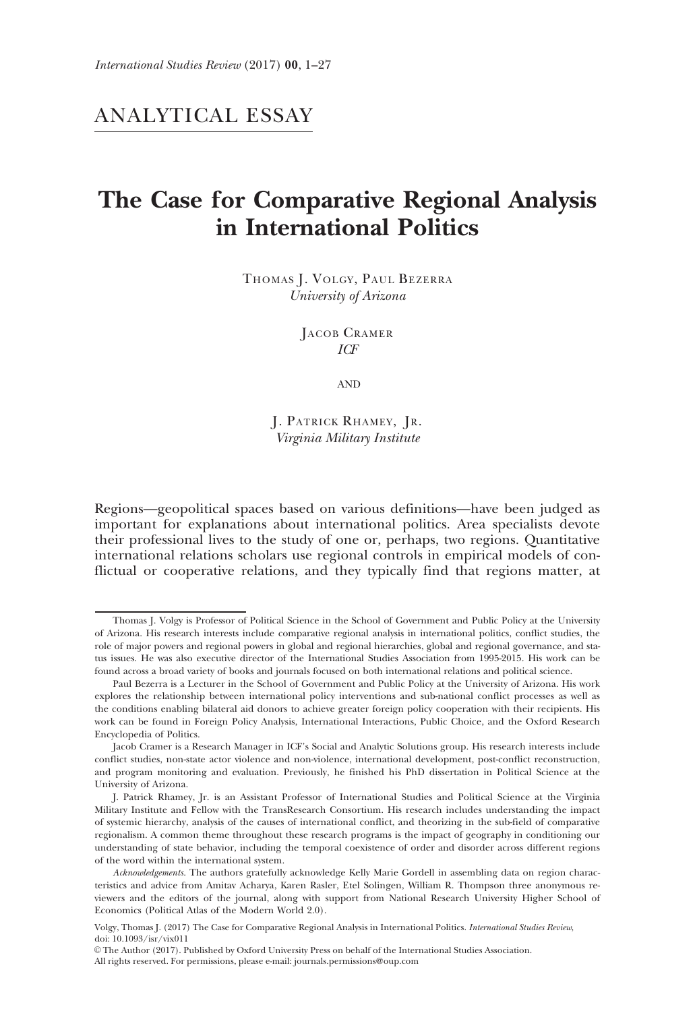# ANALYTICAL ESSAY

# The Case for Comparative Regional Analysis in International Politics

THOMAS J. VOLGY, PAUL BEZERRA University of Arizona

> JACOB CRAMER ICF

> > AND

J. PATRICK RHAMEY, JR. Virginia Military Institute

Regions—geopolitical spaces based on various definitions—have been judged as important for explanations about international politics. Area specialists devote their professional lives to the study of one or, perhaps, two regions. Quantitative international relations scholars use regional controls in empirical models of conflictual or cooperative relations, and they typically find that regions matter, at

All rights reserved. For permissions, please e-mail: journals.permissions@oup.com

Thomas J. Volgy is Professor of Political Science in the School of Government and Public Policy at the University of Arizona. His research interests include comparative regional analysis in international politics, conflict studies, the role of major powers and regional powers in global and regional hierarchies, global and regional governance, and status issues. He was also executive director of the International Studies Association from 1995-2015. His work can be found across a broad variety of books and journals focused on both international relations and political science.

Paul Bezerra is a Lecturer in the School of Government and Public Policy at the University of Arizona. His work explores the relationship between international policy interventions and sub-national conflict processes as well as the conditions enabling bilateral aid donors to achieve greater foreign policy cooperation with their recipients. His work can be found in Foreign Policy Analysis, International Interactions, Public Choice, and the Oxford Research Encyclopedia of Politics.

Jacob Cramer is a Research Manager in ICF's Social and Analytic Solutions group. His research interests include conflict studies, non-state actor violence and non-violence, international development, post-conflict reconstruction, and program monitoring and evaluation. Previously, he finished his PhD dissertation in Political Science at the University of Arizona.

J. Patrick Rhamey, Jr. is an Assistant Professor of International Studies and Political Science at the Virginia Military Institute and Fellow with the TransResearch Consortium. His research includes understanding the impact of systemic hierarchy, analysis of the causes of international conflict, and theorizing in the sub-field of comparative regionalism. A common theme throughout these research programs is the impact of geography in conditioning our understanding of state behavior, including the temporal coexistence of order and disorder across different regions of the word within the international system.

Acknowledgements. The authors gratefully acknowledge Kelly Marie Gordell in assembling data on region characteristics and advice from Amitav Acharya, Karen Rasler, Etel Solingen, William R. Thompson three anonymous reviewers and the editors of the journal, along with support from National Research University Higher School of Economics (Political Atlas of the Modern World 2.0).

Volgy, Thomas J. (2017) The Case for Comparative Regional Analysis in International Politics. International Studies Review, doi: 10.1093/isr/vix011

V<sup>C</sup> The Author (2017). Published by Oxford University Press on behalf of the International Studies Association.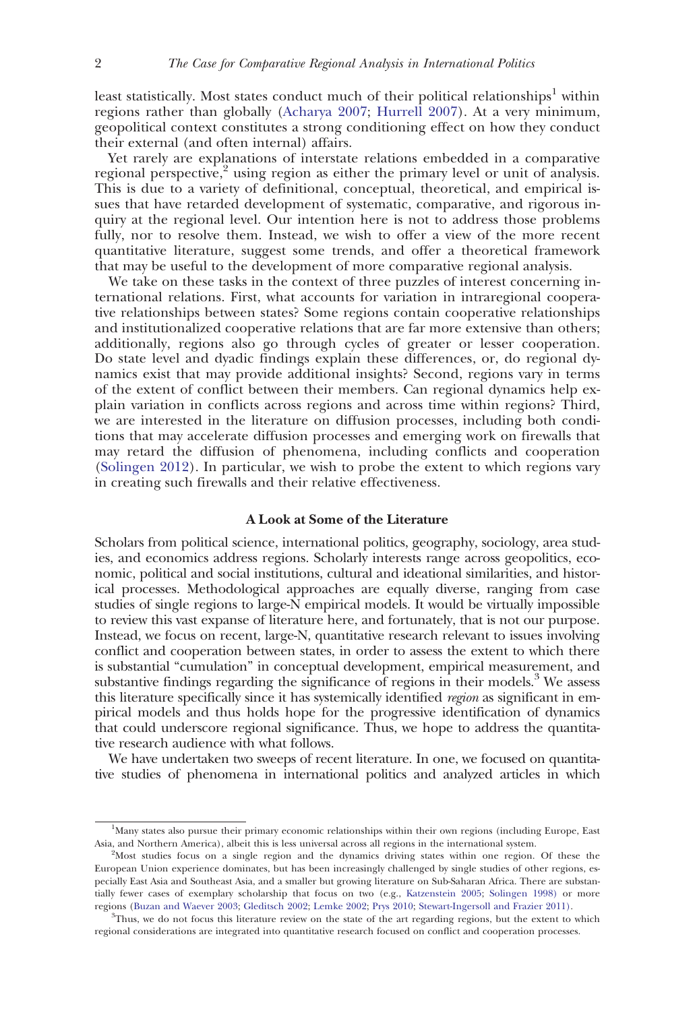least statistically. Most states conduct much of their political relationships<sup>1</sup> within regions rather than globally ([Acharya 2007](#page-25-0); [Hurrell 2007\)](#page-27-0). At a very minimum, geopolitical context constitutes a strong conditioning effect on how they conduct their external (and often internal) affairs.

Yet rarely are explanations of interstate relations embedded in a comparative regional perspective, $2$  using region as either the primary level or unit of analysis. This is due to a variety of definitional, conceptual, theoretical, and empirical issues that have retarded development of systematic, comparative, and rigorous inquiry at the regional level. Our intention here is not to address those problems fully, nor to resolve them. Instead, we wish to offer a view of the more recent quantitative literature, suggest some trends, and offer a theoretical framework that may be useful to the development of more comparative regional analysis.

We take on these tasks in the context of three puzzles of interest concerning international relations. First, what accounts for variation in intraregional cooperative relationships between states? Some regions contain cooperative relationships and institutionalized cooperative relations that are far more extensive than others; additionally, regions also go through cycles of greater or lesser cooperation. Do state level and dyadic findings explain these differences, or, do regional dynamics exist that may provide additional insights? Second, regions vary in terms of the extent of conflict between their members. Can regional dynamics help explain variation in conflicts across regions and across time within regions? Third, we are interested in the literature on diffusion processes, including both conditions that may accelerate diffusion processes and emerging work on firewalls that may retard the diffusion of phenomena, including conflicts and cooperation ([Solingen 2012\)](#page-28-0). In particular, we wish to probe the extent to which regions vary in creating such firewalls and their relative effectiveness.

# A Look at Some of the Literature

Scholars from political science, international politics, geography, sociology, area studies, and economics address regions. Scholarly interests range across geopolitics, economic, political and social institutions, cultural and ideational similarities, and historical processes. Methodological approaches are equally diverse, ranging from case studies of single regions to large-N empirical models. It would be virtually impossible to review this vast expanse of literature here, and fortunately, that is not our purpose. Instead, we focus on recent, large-N, quantitative research relevant to issues involving conflict and cooperation between states, in order to assess the extent to which there is substantial "cumulation" in conceptual development, empirical measurement, and substantive findings regarding the significance of regions in their models.<sup>3</sup> We assess this literature specifically since it has systemically identified region as significant in empirical models and thus holds hope for the progressive identification of dynamics that could underscore regional significance. Thus, we hope to address the quantitative research audience with what follows.

We have undertaken two sweeps of recent literature. In one, we focused on quantitative studies of phenomena in international politics and analyzed articles in which

<sup>&</sup>lt;sup>1</sup>Many states also pursue their primary economic relationships within their own regions (including Europe, East Asia, and Northern America), albeit this is less universal across all regions in the international system. <sup>2</sup>

 $A$ <sup>2</sup>Most studies focus on a single region and the dynamics driving states within one region. Of these the European Union experience dominates, but has been increasingly challenged by single studies of other regions, especially East Asia and Southeast Asia, and a smaller but growing literature on Sub-Saharan Africa. There are substantially fewer cases of exemplary scholarship that focus on two (e.g., [Katzenstein 2005;](#page-27-0) [Solingen 1998\)](#page-28-0) or more regions [\(Buzan and Waever 2003](#page-26-0); [Gleditsch 2002](#page-26-0); [Lemke 2002](#page-27-0); [Prys 2010](#page-28-0); [Stewart-Ingersoll and Frazier 2011\)](#page-28-0).

<sup>&</sup>lt;sup>3</sup>Thus, we do not focus this literature review on the state of the art regarding regions, but the extent to which regional considerations are integrated into quantitative research focused on conflict and cooperation processes.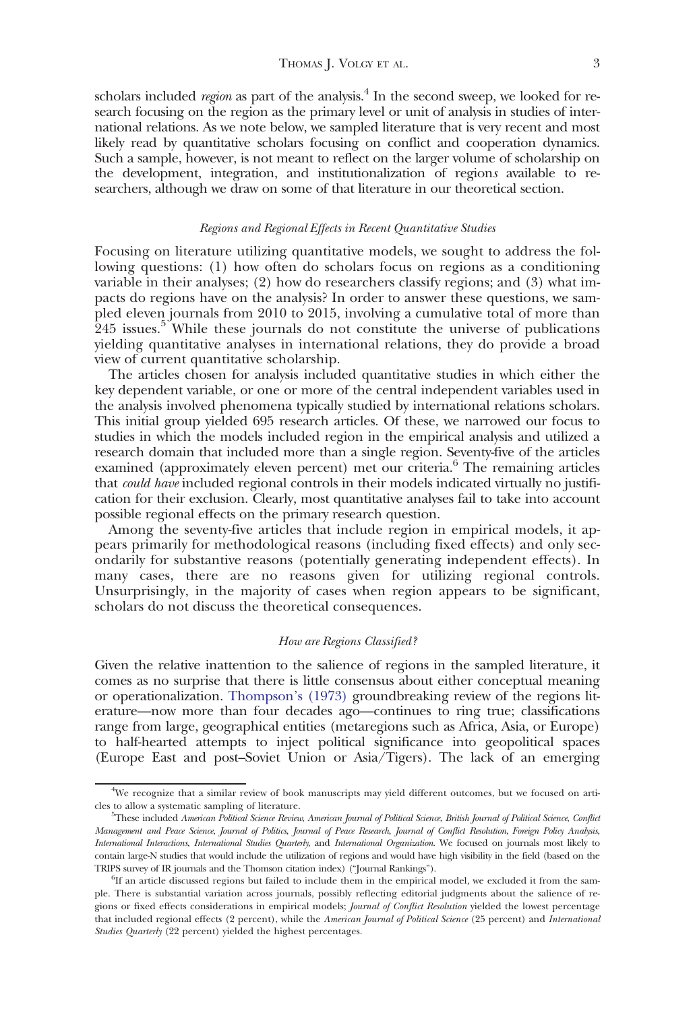scholars included *region* as part of the analysis.<sup>4</sup> In the second sweep, we looked for research focusing on the region as the primary level or unit of analysis in studies of international relations. As we note below, we sampled literature that is very recent and most likely read by quantitative scholars focusing on conflict and cooperation dynamics. Such a sample, however, is not meant to reflect on the larger volume of scholarship on the development, integration, and institutionalization of regions available to researchers, although we draw on some of that literature in our theoretical section.

#### Regions and Regional Effects in Recent Quantitative Studies

Focusing on literature utilizing quantitative models, we sought to address the following questions: (1) how often do scholars focus on regions as a conditioning variable in their analyses; (2) how do researchers classify regions; and (3) what impacts do regions have on the analysis? In order to answer these questions, we sampled eleven journals from 2010 to 2015, involving a cumulative total of more than 245 issues.<sup>5</sup> While these journals do not constitute the universe of publications yielding quantitative analyses in international relations, they do provide a broad view of current quantitative scholarship.

The articles chosen for analysis included quantitative studies in which either the key dependent variable, or one or more of the central independent variables used in the analysis involved phenomena typically studied by international relations scholars. This initial group yielded 695 research articles. Of these, we narrowed our focus to studies in which the models included region in the empirical analysis and utilized a research domain that included more than a single region. Seventy-five of the articles examined (approximately eleven percent) met our criteria.<sup>6</sup> The remaining articles that *could have* included regional controls in their models indicated virtually no justification for their exclusion. Clearly, most quantitative analyses fail to take into account possible regional effects on the primary research question.

Among the seventy-five articles that include region in empirical models, it appears primarily for methodological reasons (including fixed effects) and only secondarily for substantive reasons (potentially generating independent effects). In many cases, there are no reasons given for utilizing regional controls. Unsurprisingly, in the majority of cases when region appears to be significant, scholars do not discuss the theoretical consequences.

#### How are Regions Classified?

Given the relative inattention to the salience of regions in the sampled literature, it comes as no surprise that there is little consensus about either conceptual meaning or operationalization. [Thompson's \(1973\)](#page-28-0) groundbreaking review of the regions literature—now more than four decades ago—continues to ring true; classifications range from large, geographical entities (metaregions such as Africa, Asia, or Europe) to half-hearted attempts to inject political significance into geopolitical spaces (Europe East and post–Soviet Union or Asia/Tigers). The lack of an emerging

<sup>4</sup> We recognize that a similar review of book manuscripts may yield different outcomes, but we focused on articles to allow a systematic sampling of literature.

<sup>&</sup>lt;sup>5</sup>These included American Political Science Review, American Journal of Political Science, British Journal of Political Science, Conflict Management and Peace Science, Journal of Politics, Journal of Peace Research, Journal of Conflict Resolution, Foreign Policy Analysis, International Interactions, International Studies Quarterly, and International Organization. We focused on journals most likely to contain large-N studies that would include the utilization of regions and would have high visibility in the field (based on the TRIPS survey of IR journals and the Thomson citation index) ("Journal Rankings"). <sup>6</sup>

 ${}^{6}$ If an article discussed regions but failed to include them in the empirical model, we excluded it from the sample. There is substantial variation across journals, possibly reflecting editorial judgments about the salience of regions or fixed effects considerations in empirical models; Journal of Conflict Resolution yielded the lowest percentage that included regional effects (2 percent), while the American Journal of Political Science (25 percent) and International Studies Quarterly (22 percent) yielded the highest percentages.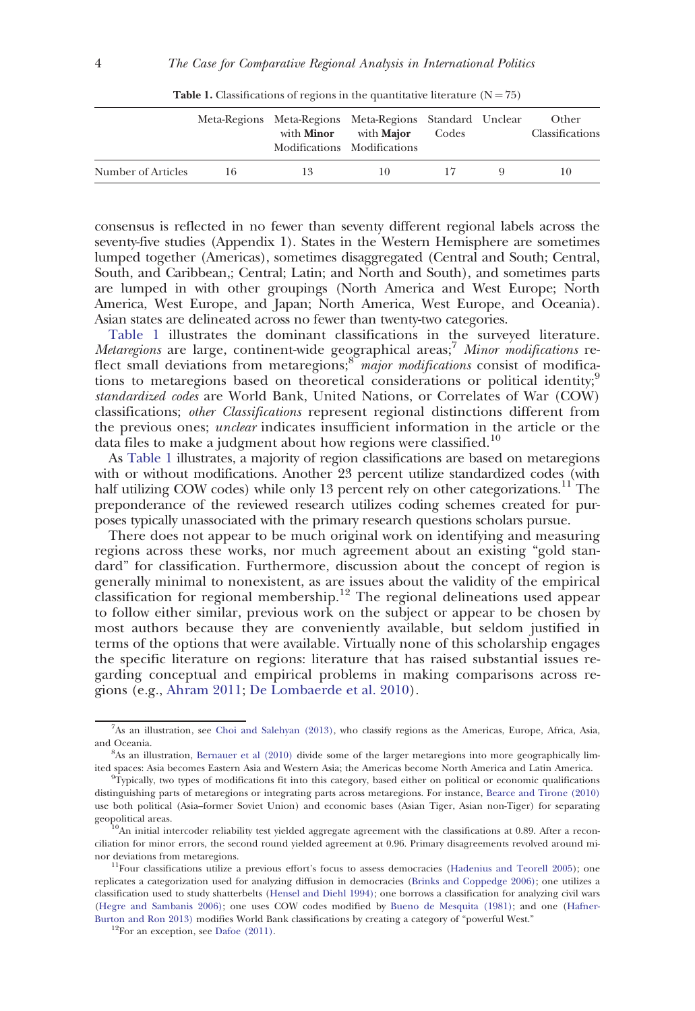|                    |    | Meta-Regions Meta-Regions Meta-Regions Standard Unclear | with <b>Minor</b> with <b>Major</b><br>Modifications Modifications | Codes | Other<br>Classifications |
|--------------------|----|---------------------------------------------------------|--------------------------------------------------------------------|-------|--------------------------|
| Number of Articles | 16 | 13                                                      | 10                                                                 |       |                          |

**Table 1.** Classifications of regions in the quantitative literature  $(N = 75)$ 

consensus is reflected in no fewer than seventy different regional labels across the seventy-five studies (Appendix 1). States in the Western Hemisphere are sometimes lumped together (Americas), sometimes disaggregated (Central and South; Central, South, and Caribbean,; Central; Latin; and North and South), and sometimes parts are lumped in with other groupings (North America and West Europe; North America, West Europe, and Japan; North America, West Europe, and Oceania). Asian states are delineated across no fewer than twenty-two categories.

Table 1 illustrates the dominant classifications in the surveyed literature. Metaregions are large, continent-wide geographical areas;<sup>7</sup> Minor modifications reflect small deviations from metaregions; $\frac{8}{3}$  major modifications consist of modifications to metaregions based on theoretical considerations or political identity;<sup>9</sup> standardized codes are World Bank, United Nations, or Correlates of War (COW) classifications; other Classifications represent regional distinctions different from the previous ones; unclear indicates insufficient information in the article or the data files to make a judgment about how regions were classified.<sup>10</sup>

As Table 1 illustrates, a majority of region classifications are based on metaregions with or without modifications. Another 23 percent utilize standardized codes (with half utilizing COW codes) while only 13 percent rely on other categorizations.<sup>11</sup> The preponderance of the reviewed research utilizes coding schemes created for purposes typically unassociated with the primary research questions scholars pursue.

There does not appear to be much original work on identifying and measuring regions across these works, nor much agreement about an existing "gold standard" for classification. Furthermore, discussion about the concept of region is generally minimal to nonexistent, as are issues about the validity of the empirical classification for regional membership.<sup>12</sup> The regional delineations used appear to follow either similar, previous work on the subject or appear to be chosen by most authors because they are conveniently available, but seldom justified in terms of the options that were available. Virtually none of this scholarship engages the specific literature on regions: literature that has raised substantial issues regarding conceptual and empirical problems in making comparisons across regions (e.g., [Ahram 2011](#page-25-0); [De Lombaerde et al. 2010](#page-26-0)).

<sup>7</sup> As an illustration, see [Choi and Salehyan \(2013\)](#page-26-0), who classify regions as the Americas, Europe, Africa, Asia, and Oceania.

<sup>8</sup> As an illustration, [Bernauer et al \(2010\)](#page-25-0) divide some of the larger metaregions into more geographically limited spaces: Asia becomes Eastern Asia and Western Asia; the Americas become North America and Latin America.

<sup>9</sup> Typically, two types of modifications fit into this category, based either on political or economic qualifications distinguishing parts of metaregions or integrating parts across metaregions. For instance, [Bearce and Tirone \(2010\)](#page-25-0) use both political (Asia–former Soviet Union) and economic bases (Asian Tiger, Asian non-Tiger) for separating

geopolitical areas.<br><sup>10</sup>An initial intercoder reliability test yielded aggregate agreement with the classifications at 0.89. After a reconciliation for minor errors, the second round yielded agreement at 0.96. Primary disagreements revolved around minor deviations from metaregions.<br> $11$ Four classifications utilize a previous effort's focus to assess democracies ([Hadenius and Teorell 2005\)](#page-26-0); one

replicates a categorization used for analyzing diffusion in democracies [\(Brinks and Coppedge 2006\)](#page-25-0); one utilizes a classification used to study shatterbelts [\(Hensel and Diehl 1994\)](#page-27-0); one borrows a classification for analyzing civil wars [\(Hegre and Sambanis 2006\);](#page-27-0) one uses COW codes modified by [Bueno de Mesquita \(1981\);](#page-26-0) and one ([Hafner-](#page-27-0)[Burton and Ron 2013\)](#page-27-0) modifies World Bank classifications by creating a category of "powerful West."  $\rm ^{12}For$  an exception, see [Dafoe \(2011\).](#page-26-0)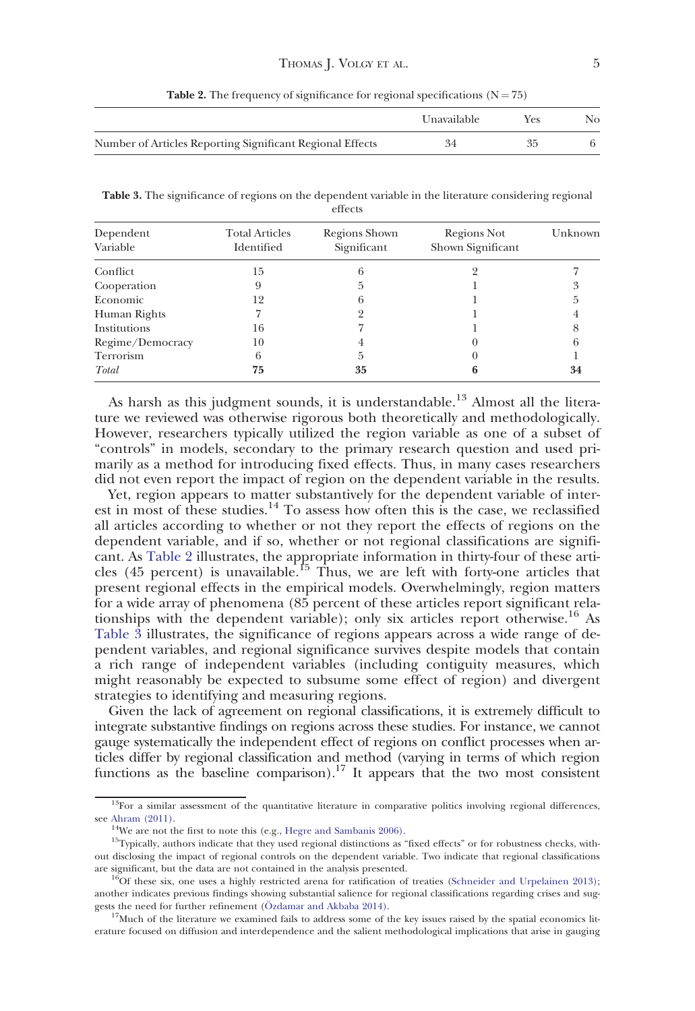|                                                           | Unavailable | Yes | No. |
|-----------------------------------------------------------|-------------|-----|-----|
| Number of Articles Reporting Significant Regional Effects | 34          | 35  |     |

**Table 2.** The frequency of significance for regional specifications  $(N = 75)$ 

Table 3. The significance of regions on the dependent variable in the literature considering regional effects

| Dependent<br>Variable | <b>Total Articles</b><br>Identified | Regions Shown<br>Significant | Regions Not<br>Shown Significant | Unknown |
|-----------------------|-------------------------------------|------------------------------|----------------------------------|---------|
| Conflict              | 15                                  |                              |                                  |         |
| Cooperation           | 9                                   | h                            |                                  |         |
| Economic              | 12                                  |                              |                                  |         |
| Human Rights          |                                     |                              |                                  |         |
| Institutions          | 16                                  |                              |                                  |         |
| Regime/Democracy      | 10                                  |                              |                                  |         |
| Terrorism             | 6                                   | h                            |                                  |         |
| Total                 | 75                                  | 35                           | n                                | 34      |

As harsh as this judgment sounds, it is understandable.<sup>13</sup> Almost all the literature we reviewed was otherwise rigorous both theoretically and methodologically. However, researchers typically utilized the region variable as one of a subset of "controls" in models, secondary to the primary research question and used primarily as a method for introducing fixed effects. Thus, in many cases researchers did not even report the impact of region on the dependent variable in the results.

Yet, region appears to matter substantively for the dependent variable of interest in most of these studies.<sup>14</sup> To assess how often this is the case, we reclassified all articles according to whether or not they report the effects of regions on the dependent variable, and if so, whether or not regional classifications are significant. As Table 2 illustrates, the appropriate information in thirty-four of these articles (45 percent) is unavailable.<sup>15</sup> Thus, we are left with forty-one articles that present regional effects in the empirical models. Overwhelmingly, region matters for a wide array of phenomena (85 percent of these articles report significant relationships with the dependent variable); only six articles report otherwise.<sup>16</sup> As Table 3 illustrates, the significance of regions appears across a wide range of dependent variables, and regional significance survives despite models that contain a rich range of independent variables (including contiguity measures, which might reasonably be expected to subsume some effect of region) and divergent strategies to identifying and measuring regions.

Given the lack of agreement on regional classifications, it is extremely difficult to integrate substantive findings on regions across these studies. For instance, we cannot gauge systematically the independent effect of regions on conflict processes when articles differ by regional classification and method (varying in terms of which region functions as the baseline comparison).<sup>17</sup> It appears that the two most consistent

 $13$ For a similar assessment of the quantitative literature in comparative politics involving regional differences, see [Ahram \(2011\)](#page-25-0).<br><sup>14</sup>We are not the first to note this (e.g., Hegre and Sambanis 2006).

 $15$ Typically, authors indicate that they used regional distinctions as "fixed effects" or for robustness checks, without disclosing the impact of regional controls on the dependent variable. Two indicate that regional classifications are significant, but the data are not contained in the analysis presented.  $16$  of these six, one uses a highly restricted arena for ratification of treaties ([Schneider and Urpelainen 2013\)](#page-28-0);

another indicates previous findings showing substantial salience for regional classifications regarding crises and suggests the need for further refinement ( $O$ zdamar and Akbaba 2014).

 $17$ Much of the literature we examined fails to address some of the key issues raised by the spatial economics literature focused on diffusion and interdependence and the salient methodological implications that arise in gauging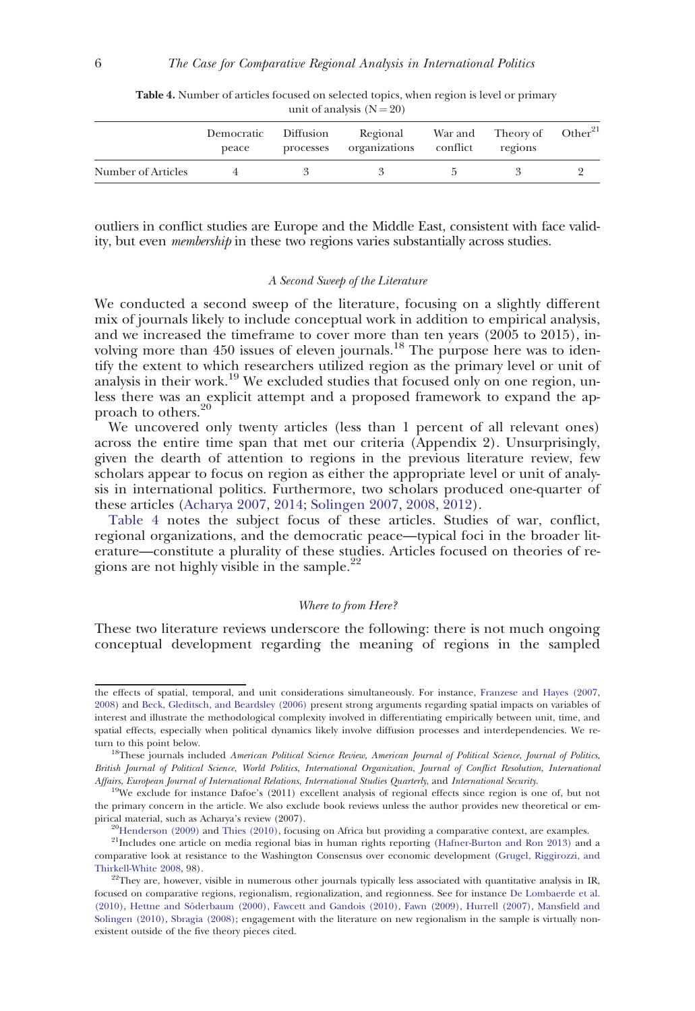|                    | Democratic<br>peace | Diffusion<br>processes | Regional<br>organizations conflict | War and Theory of Other <sup>21</sup><br>regions |  |
|--------------------|---------------------|------------------------|------------------------------------|--------------------------------------------------|--|
| Number of Articles |                     |                        |                                    |                                                  |  |

Table 4. Number of articles focused on selected topics, when region is level or primary unit of analysis  $(N = 20)$ 

outliers in conflict studies are Europe and the Middle East, consistent with face validity, but even membership in these two regions varies substantially across studies.

#### A Second Sweep of the Literature

We conducted a second sweep of the literature, focusing on a slightly different mix of journals likely to include conceptual work in addition to empirical analysis, and we increased the timeframe to cover more than ten years (2005 to 2015), involving more than 450 issues of eleven journals.<sup>18</sup> The purpose here was to identify the extent to which researchers utilized region as the primary level or unit of analysis in their work.<sup>19</sup> We excluded studies that focused only on one region, unless there was an explicit attempt and a proposed framework to expand the approach to others.<sup>20</sup>

We uncovered only twenty articles (less than 1 percent of all relevant ones) across the entire time span that met our criteria (Appendix 2). Unsurprisingly, given the dearth of attention to regions in the previous literature review, few scholars appear to focus on region as either the appropriate level or unit of analysis in international politics. Furthermore, two scholars produced one-quarter of these articles [\(Acharya 2007,](#page-25-0) [2014;](#page-25-0) [Solingen 2007,](#page-28-0) [2008](#page-28-0), [2012](#page-28-0)).

Table 4 notes the subject focus of these articles. Studies of war, conflict, regional organizations, and the democratic peace—typical foci in the broader literature—constitute a plurality of these studies. Articles focused on theories of regions are not highly visible in the sample.<sup>22</sup>

#### Where to from Here?

These two literature reviews underscore the following: there is not much ongoing conceptual development regarding the meaning of regions in the sampled

the effects of spatial, temporal, and unit considerations simultaneously. For instance, [Franzese and Hayes \(2007](#page-26-0), [2008\)](#page-26-0) and [Beck, Gleditsch, and Beardsley \(2006\)](#page-25-0) present strong arguments regarding spatial impacts on variables of interest and illustrate the methodological complexity involved in differentiating empirically between unit, time, and spatial effects, especially when political dynamics likely involve diffusion processes and interdependencies. We return to this point below.

<sup>&</sup>lt;sup>18</sup>These journals included American Political Science Review, American Journal of Political Science, Journal of Politics, British Journal of Political Science, World Politics, International Organization, Journal of Conflict Resolution, International Affairs, European Journal of International Relations, International Studies Quarterly, and International Security.

<sup>&</sup>lt;sup>19</sup>We exclude for instance Dafoe's (2011) excellent analysis of regional effects since region is one of, but not the primary concern in the article. We also exclude book reviews unless the author provides new theoretical or em-pirical material, such as Acharya's review (2007).<br><sup>20</sup>[Henderson \(2009\)](#page-27-0) and [Thies \(2010\)](#page-28-0), focusing on Africa but providing a comparative context, are examples.

<sup>&</sup>lt;sup>21</sup>Includes one article on media regional bias in human rights reporting [\(Hafner-Burton and Ron 2013\)](#page-27-0) and a comparative look at resistance to the Washington Consensus over economic development [\(Grugel, Riggirozzi, and](#page-26-0) [Thirkell-White 2008,](#page-26-0) 98). 22They are, however, visible in numerous other journals typically less associated with quantitative analysis in IR,

focused on comparative regions, regionalism, regionalization, and regionness. See for instance [De Lombaerde et al.](#page-26-0) [\(2010\)](#page-26-0), Hettne and Söderbaum (2000), [Fawcett and Gandois \(2010\),](#page-26-0) [Fawn \(2009\)](#page-26-0), [Hurrell \(2007\)](#page-27-0), [Mansfield and](#page-27-0) [Solingen \(2010\),](#page-27-0) [Sbragia \(2008\);](#page-28-0) engagement with the literature on new regionalism in the sample is virtually nonexistent outside of the five theory pieces cited.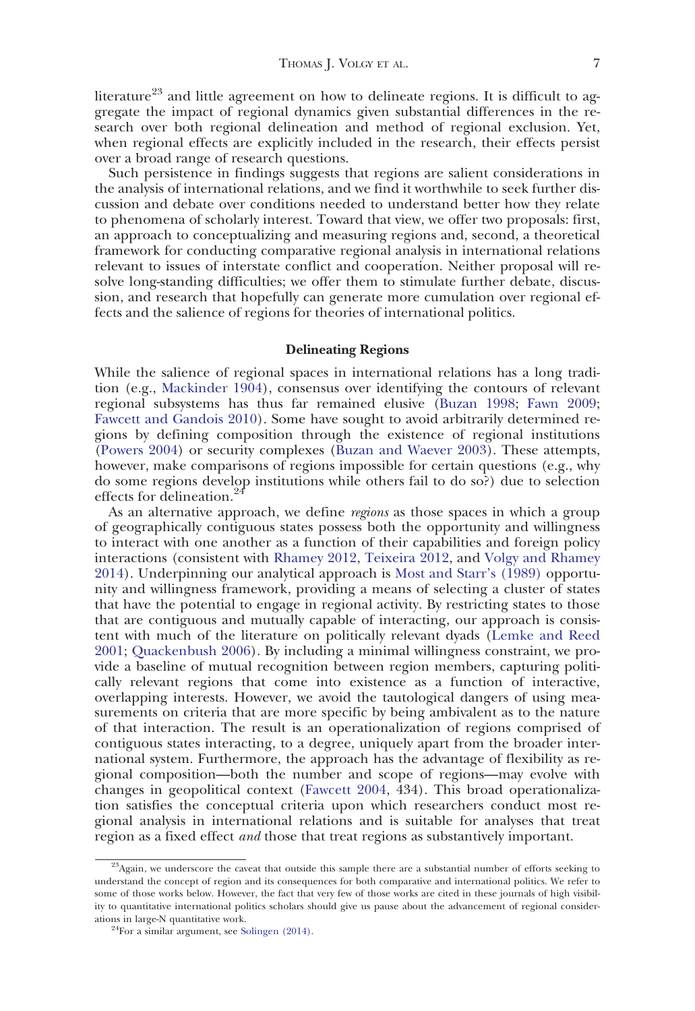literature<sup>23</sup> and little agreement on how to delineate regions. It is difficult to aggregate the impact of regional dynamics given substantial differences in the research over both regional delineation and method of regional exclusion. Yet, when regional effects are explicitly included in the research, their effects persist over a broad range of research questions.

Such persistence in findings suggests that regions are salient considerations in the analysis of international relations, and we find it worthwhile to seek further discussion and debate over conditions needed to understand better how they relate to phenomena of scholarly interest. Toward that view, we offer two proposals: first, an approach to conceptualizing and measuring regions and, second, a theoretical framework for conducting comparative regional analysis in international relations relevant to issues of interstate conflict and cooperation. Neither proposal will resolve long-standing difficulties; we offer them to stimulate further debate, discussion, and research that hopefully can generate more cumulation over regional effects and the salience of regions for theories of international politics.

# Delineating Regions

While the salience of regional spaces in international relations has a long tradition (e.g., [Mackinder 1904\)](#page-27-0), consensus over identifying the contours of relevant regional subsystems has thus far remained elusive ([Buzan 1998;](#page-26-0) [Fawn 2009;](#page-26-0) [Fawcett and Gandois 2010](#page-26-0)). Some have sought to avoid arbitrarily determined regions by defining composition through the existence of regional institutions ([Powers 2004\)](#page-28-0) or security complexes [\(Buzan and Waever 2003\)](#page-26-0). These attempts, however, make comparisons of regions impossible for certain questions (e.g., why do some regions develop institutions while others fail to do so?) due to selection effects for delineation.<sup>2</sup>

As an alternative approach, we define regions as those spaces in which a group of geographically contiguous states possess both the opportunity and willingness to interact with one another as a function of their capabilities and foreign policy interactions (consistent with [Rhamey 2012](#page-28-0), [Teixeira 2012,](#page-28-0) and [Volgy and Rhamey](#page-28-0) [2014](#page-28-0)). Underpinning our analytical approach is [Most and Starr's \(1989\)](#page-27-0) opportunity and willingness framework, providing a means of selecting a cluster of states that have the potential to engage in regional activity. By restricting states to those that are contiguous and mutually capable of interacting, our approach is consistent with much of the literature on politically relevant dyads [\(Lemke and Reed](#page-27-0) [2001](#page-27-0); [Quackenbush 2006\)](#page-28-0). By including a minimal willingness constraint, we provide a baseline of mutual recognition between region members, capturing politically relevant regions that come into existence as a function of interactive, overlapping interests. However, we avoid the tautological dangers of using measurements on criteria that are more specific by being ambivalent as to the nature of that interaction. The result is an operationalization of regions comprised of contiguous states interacting, to a degree, uniquely apart from the broader international system. Furthermore, the approach has the advantage of flexibility as regional composition—both the number and scope of regions—may evolve with changes in geopolitical context [\(Fawcett 2004](#page-26-0), 434). This broad operationalization satisfies the conceptual criteria upon which researchers conduct most regional analysis in international relations and is suitable for analyses that treat region as a fixed effect *and* those that treat regions as substantively important.

<sup>&</sup>lt;sup>23</sup>Again, we underscore the caveat that outside this sample there are a substantial number of efforts seeking to understand the concept of region and its consequences for both comparative and international politics. We refer to some of those works below. However, the fact that very few of those works are cited in these journals of high visibility to quantitative international politics scholars should give us pause about the advancement of regional consider-ations in large-N quantitative work.<br><sup>24</sup>For a similar argument, see [Solingen \(2014\).](#page-28-0)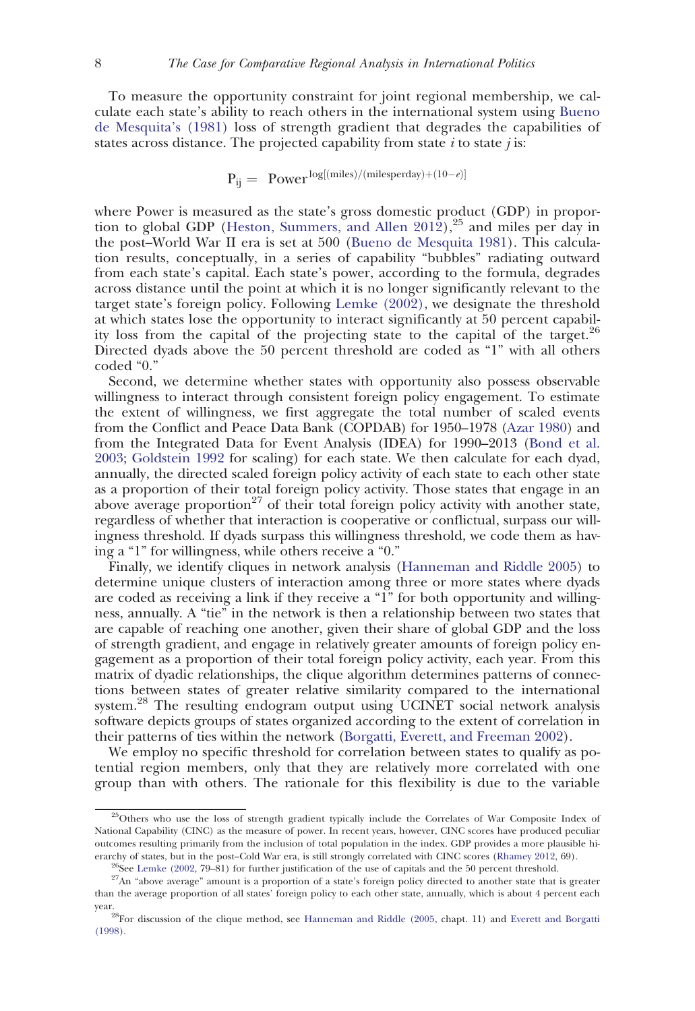To measure the opportunity constraint for joint regional membership, we calculate each state's ability to reach others in the international system using [Bueno](#page-26-0) [de Mesquita's \(1981\)](#page-26-0) loss of strength gradient that degrades the capabilities of states across distance. The projected capability from state  $i$  to state  $j$  is:

$$
P_{ij} = Power^{\log[(miles)/(milesperday)+(10-e)]}
$$

where Power is measured as the state's gross domestic product (GDP) in propor-tion to global GDP [\(Heston, Summers, and Allen 2012](#page-27-0)),<sup>25</sup> and miles per day in the post–World War II era is set at 500 [\(Bueno de Mesquita 1981](#page-26-0)). This calculation results, conceptually, in a series of capability "bubbles" radiating outward from each state's capital. Each state's power, according to the formula, degrades across distance until the point at which it is no longer significantly relevant to the target state's foreign policy. Following [Lemke \(2002\)](#page-27-0), we designate the threshold at which states lose the opportunity to interact significantly at 50 percent capability loss from the capital of the projecting state to the capital of the target. $^{26}$ Directed dyads above the 50 percent threshold are coded as "1" with all others coded "0."

Second, we determine whether states with opportunity also possess observable willingness to interact through consistent foreign policy engagement. To estimate the extent of willingness, we first aggregate the total number of scaled events from the Conflict and Peace Data Bank (COPDAB) for 1950–1978 [\(Azar 1980\)](#page-25-0) and from the Integrated Data for Event Analysis (IDEA) for 1990–2013 ([Bond et al.](#page-25-0) [2003;](#page-25-0) [Goldstein 1992](#page-26-0) for scaling) for each state. We then calculate for each dyad, annually, the directed scaled foreign policy activity of each state to each other state as a proportion of their total foreign policy activity. Those states that engage in an above average proportion<sup>27</sup> of their total foreign policy activity with another state, regardless of whether that interaction is cooperative or conflictual, surpass our willingness threshold. If dyads surpass this willingness threshold, we code them as having a "1" for willingness, while others receive a "0."

Finally, we identify cliques in network analysis [\(Hanneman and Riddle 2005\)](#page-27-0) to determine unique clusters of interaction among three or more states where dyads are coded as receiving a link if they receive a "1" for both opportunity and willingness, annually. A "tie" in the network is then a relationship between two states that are capable of reaching one another, given their share of global GDP and the loss of strength gradient, and engage in relatively greater amounts of foreign policy engagement as a proportion of their total foreign policy activity, each year. From this matrix of dyadic relationships, the clique algorithm determines patterns of connections between states of greater relative similarity compared to the international system.<sup>28</sup> The resulting endogram output using UCINET social network analysis software depicts groups of states organized according to the extent of correlation in their patterns of ties within the network [\(Borgatti, Everett, and Freeman 2002\)](#page-25-0).

We employ no specific threshold for correlation between states to qualify as potential region members, only that they are relatively more correlated with one group than with others. The rationale for this flexibility is due to the variable

<sup>&</sup>lt;sup>25</sup>Others who use the loss of strength gradient typically include the Correlates of War Composite Index of National Capability (CINC) as the measure of power. In recent years, however, CINC scores have produced peculiar outcomes resulting primarily from the inclusion of total population in the index. GDP provides a more plausible hierarchy of states, but in the post–Cold War era, is still strongly correlated with CINC scores ([Rhamey 2012](#page-28-0), 69).

<sup>&</sup>lt;sup>26</sup>See [Lemke \(2002,](#page-27-0) 79–81) for further justification of the use of capitals and the 50 percent threshold. <sup>27</sup>An "above average" amount is a proportion of a state's foreign policy directed to another state that is greate than the average proportion of all states' foreign policy to each other state, annually, which is about 4 percent each

 $28$ For discussion of the clique method, see [Hanneman and Riddle \(2005](#page-27-0), chapt. 11) and [Everett and Borgatti](#page-26-0) [\(1998\)](#page-26-0).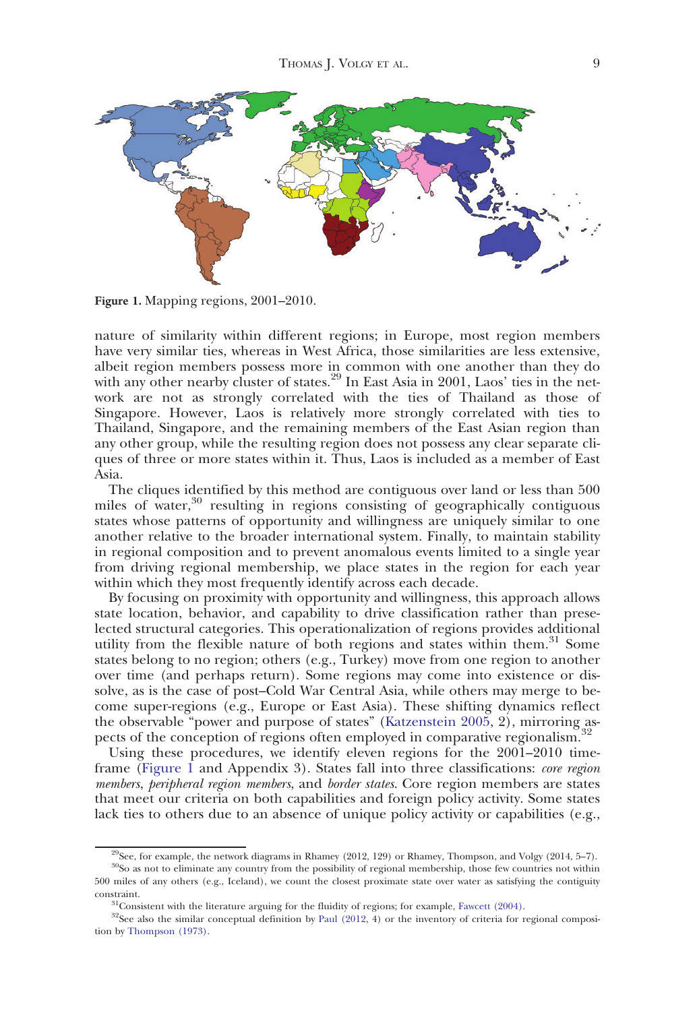

Figure 1. Mapping regions, 2001–2010.

nature of similarity within different regions; in Europe, most region members have very similar ties, whereas in West Africa, those similarities are less extensive, albeit region members possess more in common with one another than they do with any other nearby cluster of states.<sup>29</sup> In East Asia in 2001, Laos' ties in the network are not as strongly correlated with the ties of Thailand as those of Singapore. However, Laos is relatively more strongly correlated with ties to Thailand, Singapore, and the remaining members of the East Asian region than any other group, while the resulting region does not possess any clear separate cliques of three or more states within it. Thus, Laos is included as a member of East Asia.

The cliques identified by this method are contiguous over land or less than 500 miles of water,<sup>30</sup> resulting in regions consisting of geographically contiguous states whose patterns of opportunity and willingness are uniquely similar to one another relative to the broader international system. Finally, to maintain stability in regional composition and to prevent anomalous events limited to a single year from driving regional membership, we place states in the region for each year within which they most frequently identify across each decade.

By focusing on proximity with opportunity and willingness, this approach allows state location, behavior, and capability to drive classification rather than preselected structural categories. This operationalization of regions provides additional utility from the flexible nature of both regions and states within them.<sup>31</sup> Some states belong to no region; others (e.g., Turkey) move from one region to another over time (and perhaps return). Some regions may come into existence or dissolve, as is the case of post–Cold War Central Asia, while others may merge to become super-regions (e.g., Europe or East Asia). These shifting dynamics reflect the observable "power and purpose of states" [\(Katzenstein 2005,](#page-27-0) 2), mirroring aspects of the conception of regions often employed in comparative regionalism.<sup>32</sup>

Using these procedures, we identify eleven regions for the 2001–2010 timeframe (Figure 1 and Appendix 3). States fall into three classifications: core region members, peripheral region members, and border states. Core region members are states that meet our criteria on both capabilities and foreign policy activity. Some states lack ties to others due to an absence of unique policy activity or capabilities (e.g.,

<sup>&</sup>lt;sup>29</sup>See, for example, the network diagrams in Rhamey (2012, 129) or Rhamey, Thompson, and Volgy (2014, 5–7).

<sup>&</sup>lt;sup>30</sup>So as not to eliminate any country from the possibility of regional membership, those few countries not within 500 miles of any others (e.g., Iceland), we count the closest proximate state over water as satisfying the contiguity constraint.  $31$ Consistent with the literature arguing for the fluidity of regions; for example, [Fawcett \(2004\)](#page-26-0).

 $32$ See also the similar conceptual definition by [Paul \(2012,](#page-27-0) 4) or the inventory of criteria for regional composition by [Thompson \(1973\).](#page-28-0)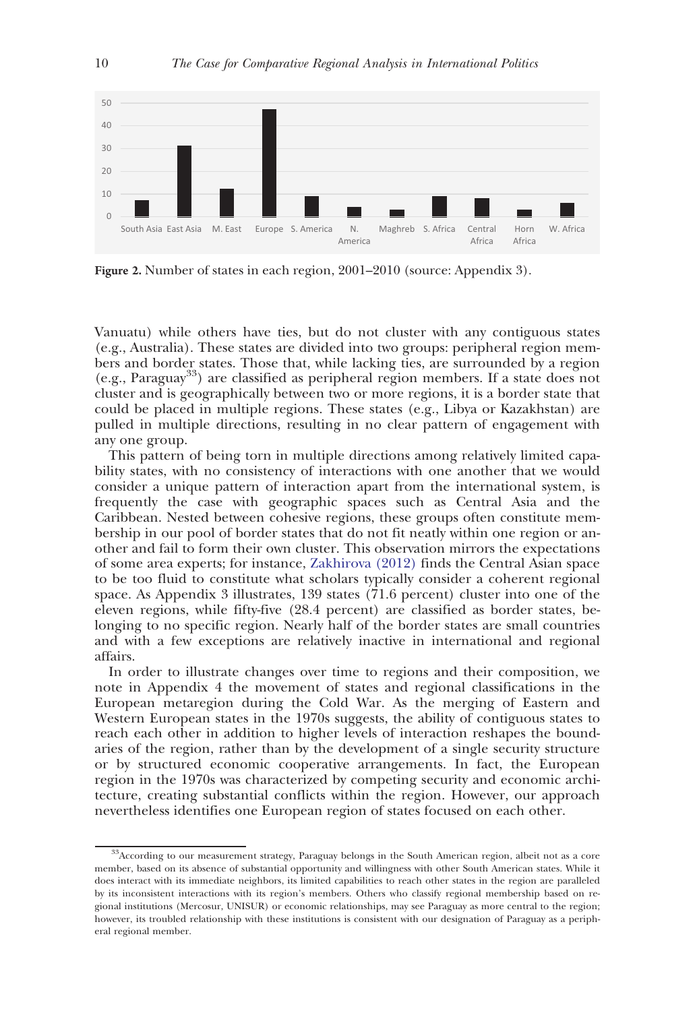<span id="page-9-0"></span>

Figure 2. Number of states in each region, 2001–2010 (source: Appendix 3).

Vanuatu) while others have ties, but do not cluster with any contiguous states (e.g., Australia). These states are divided into two groups: peripheral region members and border states. Those that, while lacking ties, are surrounded by a region  $(e.g., Paraguay<sup>33</sup>)$  are classified as peripheral region members. If a state does not cluster and is geographically between two or more regions, it is a border state that could be placed in multiple regions. These states (e.g., Libya or Kazakhstan) are pulled in multiple directions, resulting in no clear pattern of engagement with any one group.

This pattern of being torn in multiple directions among relatively limited capability states, with no consistency of interactions with one another that we would consider a unique pattern of interaction apart from the international system, is frequently the case with geographic spaces such as Central Asia and the Caribbean. Nested between cohesive regions, these groups often constitute membership in our pool of border states that do not fit neatly within one region or another and fail to form their own cluster. This observation mirrors the expectations of some area experts; for instance, [Zakhirova \(2012\)](#page-28-0) finds the Central Asian space to be too fluid to constitute what scholars typically consider a coherent regional space. As Appendix 3 illustrates, 139 states (71.6 percent) cluster into one of the eleven regions, while fifty-five (28.4 percent) are classified as border states, belonging to no specific region. Nearly half of the border states are small countries and with a few exceptions are relatively inactive in international and regional affairs.

In order to illustrate changes over time to regions and their composition, we note in Appendix 4 the movement of states and regional classifications in the European metaregion during the Cold War. As the merging of Eastern and Western European states in the 1970s suggests, the ability of contiguous states to reach each other in addition to higher levels of interaction reshapes the boundaries of the region, rather than by the development of a single security structure or by structured economic cooperative arrangements. In fact, the European region in the 1970s was characterized by competing security and economic architecture, creating substantial conflicts within the region. However, our approach nevertheless identifies one European region of states focused on each other.

<sup>33</sup>According to our measurement strategy, Paraguay belongs in the South American region, albeit not as a core member, based on its absence of substantial opportunity and willingness with other South American states. While it does interact with its immediate neighbors, its limited capabilities to reach other states in the region are paralleled by its inconsistent interactions with its region's members. Others who classify regional membership based on regional institutions (Mercosur, UNISUR) or economic relationships, may see Paraguay as more central to the region; however, its troubled relationship with these institutions is consistent with our designation of Paraguay as a peripheral regional member.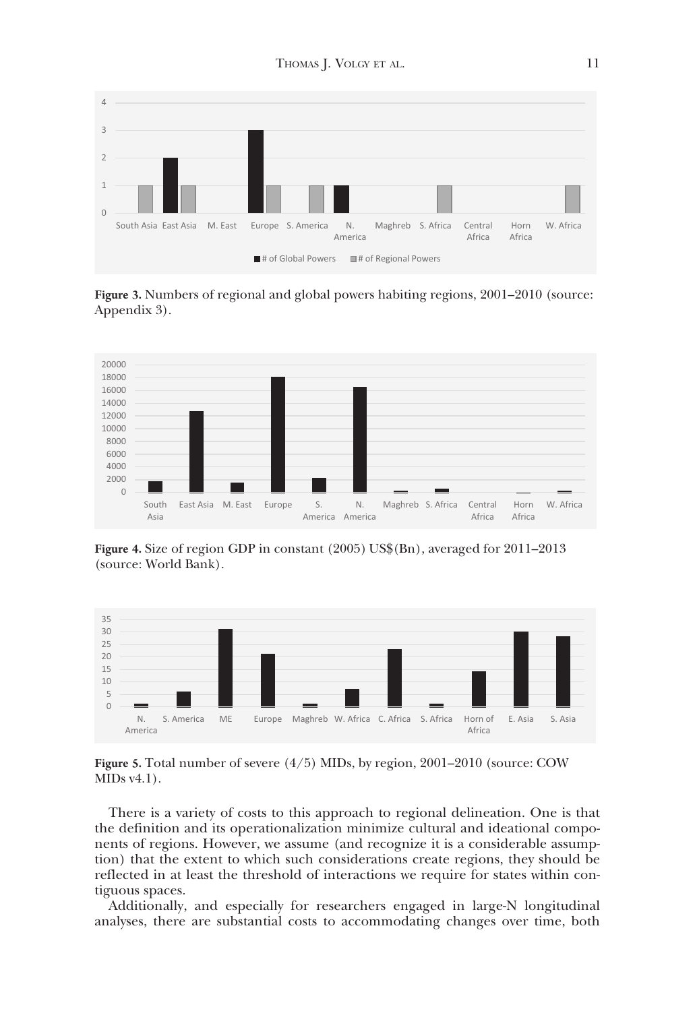<span id="page-10-0"></span>

Figure 3. Numbers of regional and global powers habiting regions, 2001–2010 (source: Appendix 3).



Figure 4. Size of region GDP in constant (2005) US\$(Bn), averaged for 2011–2013 (source: World Bank).



Figure 5. Total number of severe (4/5) MIDs, by region, 2001–2010 (source: COW MIDs v4.1).

There is a variety of costs to this approach to regional delineation. One is that the definition and its operationalization minimize cultural and ideational components of regions. However, we assume (and recognize it is a considerable assumption) that the extent to which such considerations create regions, they should be reflected in at least the threshold of interactions we require for states within contiguous spaces.

Additionally, and especially for researchers engaged in large-N longitudinal analyses, there are substantial costs to accommodating changes over time, both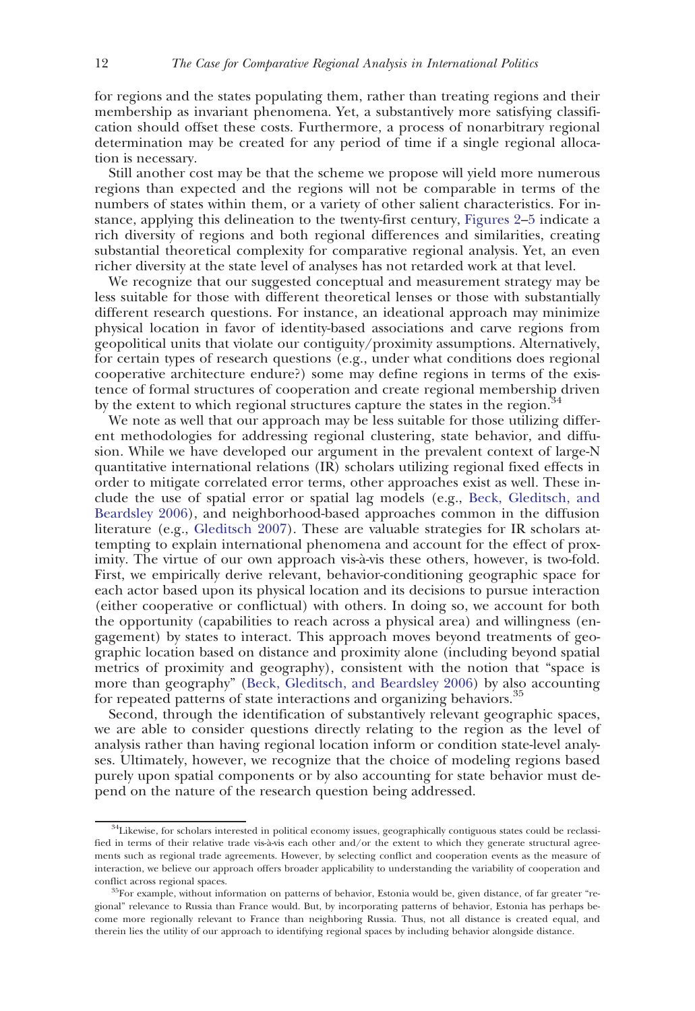for regions and the states populating them, rather than treating regions and their membership as invariant phenomena. Yet, a substantively more satisfying classification should offset these costs. Furthermore, a process of nonarbitrary regional determination may be created for any period of time if a single regional allocation is necessary.

Still another cost may be that the scheme we propose will yield more numerous regions than expected and the regions will not be comparable in terms of the numbers of states within them, or a variety of other salient characteristics. For instance, applying this delineation to the twenty-first century, [Figures 2](#page-9-0)[–5](#page-10-0) indicate a rich diversity of regions and both regional differences and similarities, creating substantial theoretical complexity for comparative regional analysis. Yet, an even richer diversity at the state level of analyses has not retarded work at that level.

We recognize that our suggested conceptual and measurement strategy may be less suitable for those with different theoretical lenses or those with substantially different research questions. For instance, an ideational approach may minimize physical location in favor of identity-based associations and carve regions from geopolitical units that violate our contiguity/proximity assumptions. Alternatively, for certain types of research questions (e.g., under what conditions does regional cooperative architecture endure?) some may define regions in terms of the existence of formal structures of cooperation and create regional membership driven by the extent to which regional structures capture the states in the region.<sup>3</sup>

We note as well that our approach may be less suitable for those utilizing different methodologies for addressing regional clustering, state behavior, and diffusion. While we have developed our argument in the prevalent context of large-N quantitative international relations (IR) scholars utilizing regional fixed effects in order to mitigate correlated error terms, other approaches exist as well. These include the use of spatial error or spatial lag models (e.g., [Beck, Gleditsch, and](#page-25-0) [Beardsley 2006\)](#page-25-0), and neighborhood-based approaches common in the diffusion literature (e.g., [Gleditsch 2007](#page-26-0)). These are valuable strategies for IR scholars attempting to explain international phenomena and account for the effect of proximity. The virtue of our own approach vis-à-vis these others, however, is two-fold. First, we empirically derive relevant, behavior-conditioning geographic space for each actor based upon its physical location and its decisions to pursue interaction (either cooperative or conflictual) with others. In doing so, we account for both the opportunity (capabilities to reach across a physical area) and willingness (engagement) by states to interact. This approach moves beyond treatments of geographic location based on distance and proximity alone (including beyond spatial metrics of proximity and geography), consistent with the notion that "space is more than geography" ([Beck, Gleditsch, and Beardsley 2006\)](#page-25-0) by also accounting for repeated patterns of state interactions and organizing behaviors.<sup>35</sup>

Second, through the identification of substantively relevant geographic spaces, we are able to consider questions directly relating to the region as the level of analysis rather than having regional location inform or condition state-level analyses. Ultimately, however, we recognize that the choice of modeling regions based purely upon spatial components or by also accounting for state behavior must depend on the nature of the research question being addressed.

<sup>&</sup>lt;sup>34</sup>Likewise, for scholars interested in political economy issues, geographically contiguous states could be reclassified in terms of their relative trade vis-à-vis each other and/or the extent to which they generate structural agreements such as regional trade agreements. However, by selecting conflict and cooperation events as the measure of interaction, we believe our approach offers broader applicability to understanding the variability of cooperation and conflict across regional spaces. 35For example, without information on patterns of behavior, Estonia would be, given distance, of far greater "re-

gional" relevance to Russia than France would. But, by incorporating patterns of behavior, Estonia has perhaps become more regionally relevant to France than neighboring Russia. Thus, not all distance is created equal, and therein lies the utility of our approach to identifying regional spaces by including behavior alongside distance.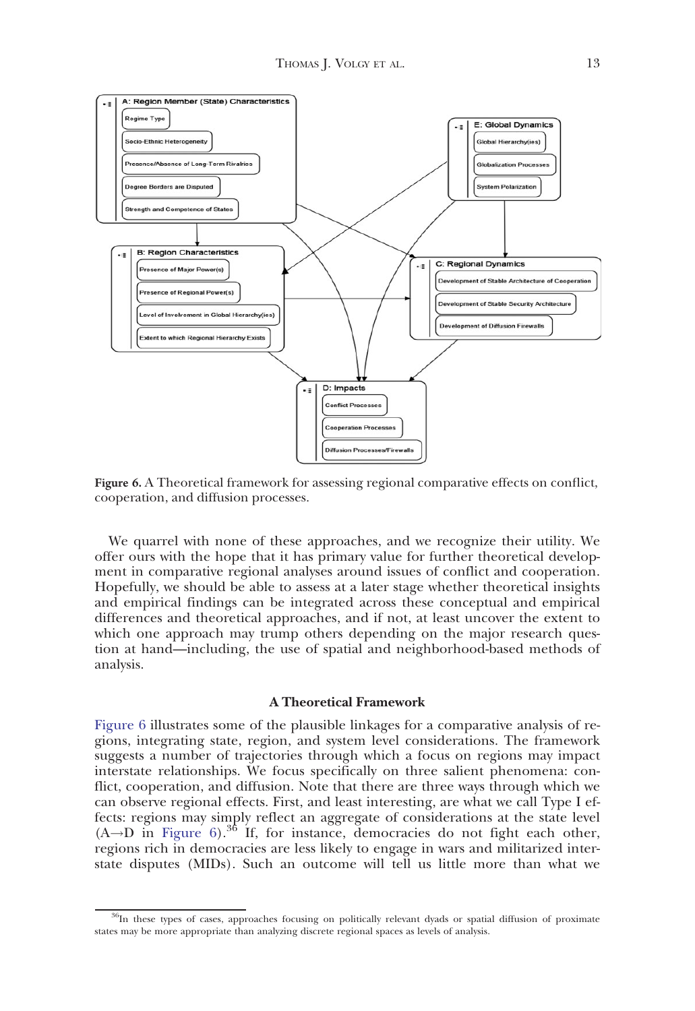<span id="page-12-0"></span>

Figure 6. A Theoretical framework for assessing regional comparative effects on conflict, cooperation, and diffusion processes.

We quarrel with none of these approaches, and we recognize their utility. We offer ours with the hope that it has primary value for further theoretical development in comparative regional analyses around issues of conflict and cooperation. Hopefully, we should be able to assess at a later stage whether theoretical insights and empirical findings can be integrated across these conceptual and empirical differences and theoretical approaches, and if not, at least uncover the extent to which one approach may trump others depending on the major research question at hand—including, the use of spatial and neighborhood-based methods of analysis.

### A Theoretical Framework

Figure 6 illustrates some of the plausible linkages for a comparative analysis of regions, integrating state, region, and system level considerations. The framework suggests a number of trajectories through which a focus on regions may impact interstate relationships. We focus specifically on three salient phenomena: conflict, cooperation, and diffusion. Note that there are three ways through which we can observe regional effects. First, and least interesting, are what we call Type I effects: regions may simply reflect an aggregate of considerations at the state level  $(A \rightarrow D \text{ in Figure } 6).$ <sup>36</sup> If, for instance, democracies do not fight each other, regions rich in democracies are less likely to engage in wars and militarized interstate disputes (MIDs). Such an outcome will tell us little more than what we

<sup>&</sup>lt;sup>36</sup>In these types of cases, approaches focusing on politically relevant dyads or spatial diffusion of proximate states may be more appropriate than analyzing discrete regional spaces as levels of analysis.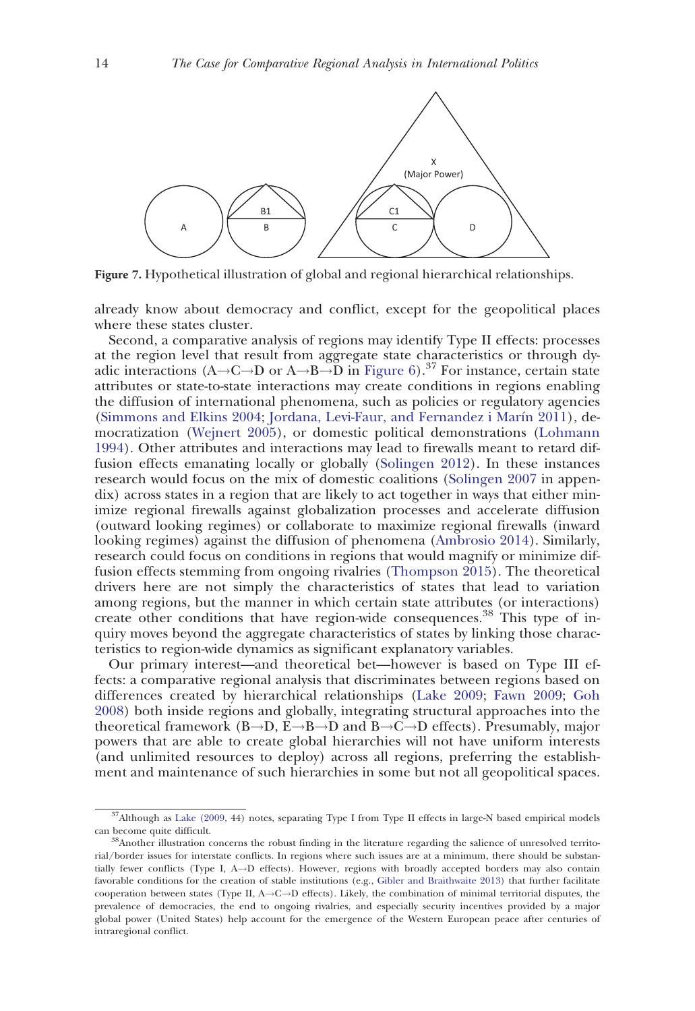<span id="page-13-0"></span>

Figure 7. Hypothetical illustration of global and regional hierarchical relationships.

already know about democracy and conflict, except for the geopolitical places where these states cluster.

Second, a comparative analysis of regions may identify Type II effects: processes at the region level that result from aggregate state characteristics or through dyadic interactions (A $\rightarrow$ C $\rightarrow$ D or A $\rightarrow$ B $\rightarrow$ D in [Figure 6](#page-12-0)).<sup>37</sup> For instance, certain state attributes or state-to-state interactions may create conditions in regions enabling the diffusion of international phenomena, such as policies or regulatory agencies ([Simmons and Elkins 2004](#page-28-0); [Jordana, Levi-Faur, and Fernandez i Mar](#page-27-0)ı[n 2011\)](#page-27-0), democratization ([Wejnert 2005\)](#page-28-0), or domestic political demonstrations ([Lohmann](#page-27-0) [1994](#page-27-0)). Other attributes and interactions may lead to firewalls meant to retard diffusion effects emanating locally or globally ([Solingen 2012\)](#page-28-0). In these instances research would focus on the mix of domestic coalitions [\(Solingen 2007](#page-28-0) in appendix) across states in a region that are likely to act together in ways that either minimize regional firewalls against globalization processes and accelerate diffusion (outward looking regimes) or collaborate to maximize regional firewalls (inward looking regimes) against the diffusion of phenomena [\(Ambrosio 2014\)](#page-25-0). Similarly, research could focus on conditions in regions that would magnify or minimize diffusion effects stemming from ongoing rivalries ([Thompson 2015](#page-28-0)). The theoretical drivers here are not simply the characteristics of states that lead to variation among regions, but the manner in which certain state attributes (or interactions) create other conditions that have region-wide consequences.<sup>38</sup> This type of inquiry moves beyond the aggregate characteristics of states by linking those characteristics to region-wide dynamics as significant explanatory variables.

Our primary interest—and theoretical bet—however is based on Type III effects: a comparative regional analysis that discriminates between regions based on differences created by hierarchical relationships ([Lake 2009](#page-27-0); [Fawn 2009](#page-26-0); [Goh](#page-26-0) [2008](#page-26-0)) both inside regions and globally, integrating structural approaches into the theoretical framework (B $\rightarrow$ D, E $\rightarrow$ B $\rightarrow$ D and B $\rightarrow$ C $\rightarrow$ D effects). Presumably, major powers that are able to create global hierarchies will not have uniform interests (and unlimited resources to deploy) across all regions, preferring the establishment and maintenance of such hierarchies in some but not all geopolitical spaces.

<sup>&</sup>lt;sup>37</sup>Although as [Lake \(2009,](#page-27-0) 44) notes, separating Type I from Type II effects in large-N based empirical models can become quite difficult. 38Another illustration concerns the robust finding in the literature regarding the salience of unresolved territo-

rial/border issues for interstate conflicts. In regions where such issues are at a minimum, there should be substantially fewer conflicts (Type I,  $A \rightarrow D$  effects). However, regions with broadly accepted borders may also contain favorable conditions for the creation of stable institutions (e.g., [Gibler and Braithwaite 2013\)](#page-26-0) that further facilitate cooperation between states (Type II,  $A \rightarrow C \rightarrow D$  effects). Likely, the combination of minimal territorial disputes, the prevalence of democracies, the end to ongoing rivalries, and especially security incentives provided by a major global power (United States) help account for the emergence of the Western European peace after centuries of intraregional conflict.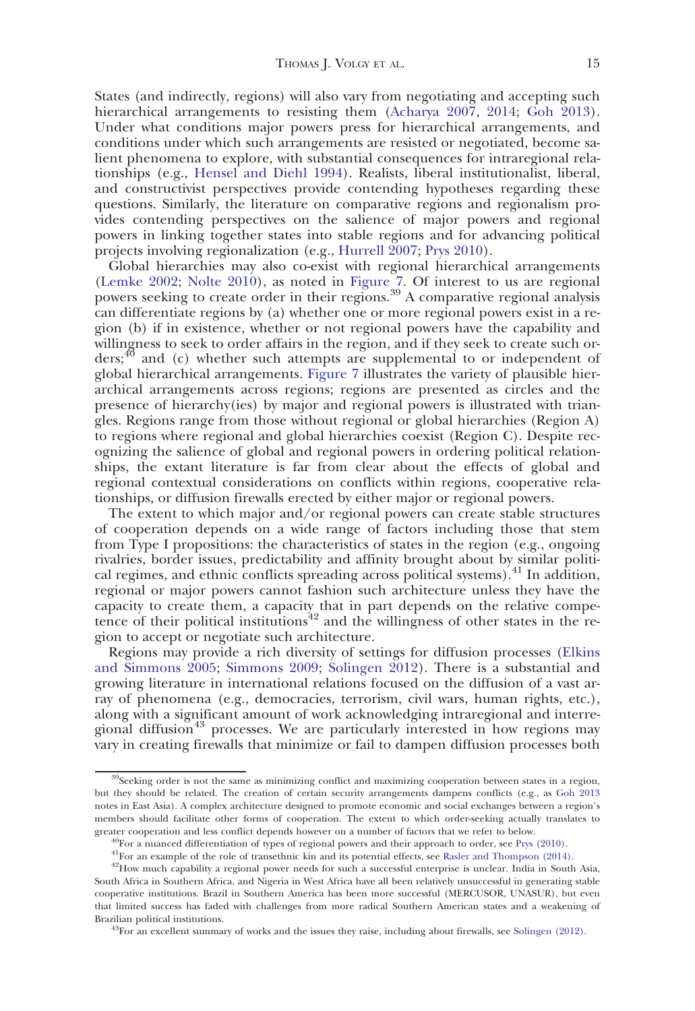States (and indirectly, regions) will also vary from negotiating and accepting such hierarchical arrangements to resisting them [\(Acharya 2007,](#page-25-0) [2014;](#page-25-0) [Goh 2013](#page-26-0)). Under what conditions major powers press for hierarchical arrangements, and conditions under which such arrangements are resisted or negotiated, become salient phenomena to explore, with substantial consequences for intraregional relationships (e.g., [Hensel and Diehl 1994\)](#page-27-0). Realists, liberal institutionalist, liberal, and constructivist perspectives provide contending hypotheses regarding these questions. Similarly, the literature on comparative regions and regionalism provides contending perspectives on the salience of major powers and regional powers in linking together states into stable regions and for advancing political projects involving regionalization (e.g., [Hurrell 2007](#page-27-0); [Prys 2010\)](#page-28-0).

Global hierarchies may also co-exist with regional hierarchical arrangements ([Lemke 2002;](#page-27-0) [Nolte 2010\)](#page-27-0), as noted in [Figure 7](#page-13-0). Of interest to us are regional powers seeking to create order in their regions.<sup>39</sup> A comparative regional analysis can differentiate regions by (a) whether one or more regional powers exist in a region (b) if in existence, whether or not regional powers have the capability and willingness to seek to order affairs in the region, and if they seek to create such orders; $40$  and (c) whether such attempts are supplemental to or independent of global hierarchical arrangements. [Figure 7](#page-13-0) illustrates the variety of plausible hierarchical arrangements across regions; regions are presented as circles and the presence of hierarchy(ies) by major and regional powers is illustrated with triangles. Regions range from those without regional or global hierarchies (Region A) to regions where regional and global hierarchies coexist (Region C). Despite recognizing the salience of global and regional powers in ordering political relationships, the extant literature is far from clear about the effects of global and regional contextual considerations on conflicts within regions, cooperative relationships, or diffusion firewalls erected by either major or regional powers.

The extent to which major and/or regional powers can create stable structures of cooperation depends on a wide range of factors including those that stem from Type I propositions: the characteristics of states in the region (e.g., ongoing rivalries, border issues, predictability and affinity brought about by similar political regimes, and ethnic conflicts spreading across political systems).<sup>41</sup> In addition, regional or major powers cannot fashion such architecture unless they have the capacity to create them, a capacity that in part depends on the relative competence of their political institutions<sup>42</sup> and the willingness of other states in the region to accept or negotiate such architecture.

Regions may provide a rich diversity of settings for diffusion processes ([Elkins](#page-26-0) [and Simmons 2005](#page-26-0); [Simmons 2009;](#page-28-0) [Solingen 2012\)](#page-28-0). There is a substantial and growing literature in international relations focused on the diffusion of a vast array of phenomena (e.g., democracies, terrorism, civil wars, human rights, etc.), along with a significant amount of work acknowledging intraregional and interregional diffusion<sup>43</sup> processes. We are particularly interested in how regions may vary in creating firewalls that minimize or fail to dampen diffusion processes both

<sup>&</sup>lt;sup>39</sup>Seeking order is not the same as minimizing conflict and maximizing cooperation between states in a region, but they should be related. The creation of certain security arrangements dampens conflicts (e.g., as [Goh 2013](#page-26-0) notes in East Asia). A complex architecture designed to promote economic and social exchanges between a region's members should facilitate other forms of cooperation. The extent to which order-seeking actually translates to greater cooperation and less conflict depends however on a number of factors that we refer to below.<br><sup>40</sup>For a nuanced differentiation of types of regional powers and their approach to order, see Prys (2010).

 $^{41}$ For an example of the role of transethnic kin and its potential effects, see [Rasler and Thompson \(2014\).](#page-28-0)<br> $^{42}$ How much capability a regional power needs for such a successful enterprise is unclear. India in South A

South Africa in Southern Africa, and Nigeria in West Africa have all been relatively unsuccessful in generating stable cooperative institutions. Brazil in Southern America has been more successful (MERCUSOR, UNASUR), but even that limited success has faded with challenges from more radical Southern American states and a weakening of Brazilian political institutions.<br><sup>43</sup>For an excellent summary of works and the issues they raise, including about firewalls, see [Solingen \(2012\).](#page-28-0)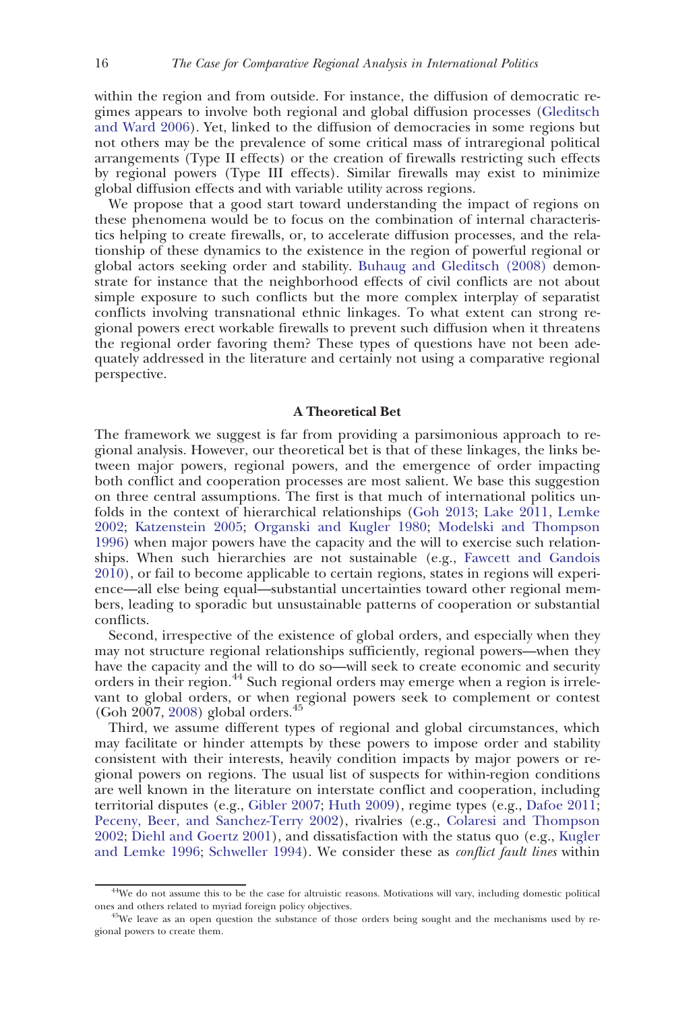within the region and from outside. For instance, the diffusion of democratic regimes appears to involve both regional and global diffusion processes ([Gleditsch](#page-26-0) [and Ward 2006](#page-26-0)). Yet, linked to the diffusion of democracies in some regions but not others may be the prevalence of some critical mass of intraregional political arrangements (Type II effects) or the creation of firewalls restricting such effects by regional powers (Type III effects). Similar firewalls may exist to minimize global diffusion effects and with variable utility across regions.

We propose that a good start toward understanding the impact of regions on these phenomena would be to focus on the combination of internal characteristics helping to create firewalls, or, to accelerate diffusion processes, and the relationship of these dynamics to the existence in the region of powerful regional or global actors seeking order and stability. [Buhaug and Gleditsch \(2008\)](#page-26-0) demonstrate for instance that the neighborhood effects of civil conflicts are not about simple exposure to such conflicts but the more complex interplay of separatist conflicts involving transnational ethnic linkages. To what extent can strong regional powers erect workable firewalls to prevent such diffusion when it threatens the regional order favoring them? These types of questions have not been adequately addressed in the literature and certainly not using a comparative regional perspective.

# A Theoretical Bet

The framework we suggest is far from providing a parsimonious approach to regional analysis. However, our theoretical bet is that of these linkages, the links between major powers, regional powers, and the emergence of order impacting both conflict and cooperation processes are most salient. We base this suggestion on three central assumptions. The first is that much of international politics unfolds in the context of hierarchical relationships [\(Goh 2013;](#page-26-0) [Lake 2011,](#page-27-0) [Lemke](#page-27-0) [2002](#page-27-0); [Katzenstein 2005;](#page-27-0) [Organski and Kugler 1980](#page-27-0); [Modelski and Thompson](#page-27-0) [1996](#page-27-0)) when major powers have the capacity and the will to exercise such relationships. When such hierarchies are not sustainable (e.g., [Fawcett and Gandois](#page-26-0) [2010](#page-26-0)), or fail to become applicable to certain regions, states in regions will experience—all else being equal—substantial uncertainties toward other regional members, leading to sporadic but unsustainable patterns of cooperation or substantial conflicts.

Second, irrespective of the existence of global orders, and especially when they may not structure regional relationships sufficiently, regional powers—when they have the capacity and the will to do so—will seek to create economic and security orders in their region.<sup>44</sup> Such regional orders may emerge when a region is irrelevant to global orders, or when regional powers seek to complement or contest (Goh 2007, [2008\)](#page-26-0) global orders.<sup>45</sup>

Third, we assume different types of regional and global circumstances, which may facilitate or hinder attempts by these powers to impose order and stability consistent with their interests, heavily condition impacts by major powers or regional powers on regions. The usual list of suspects for within-region conditions are well known in the literature on interstate conflict and cooperation, including territorial disputes (e.g., [Gibler 2007](#page-26-0); [Huth 2009\)](#page-27-0), regime types (e.g., [Dafoe 2011;](#page-26-0) [Peceny, Beer, and Sanchez-Terry 2002](#page-27-0)), rivalries (e.g., [Colaresi and Thompson](#page-26-0) [2002](#page-26-0); [Diehl and Goertz 2001](#page-26-0)), and dissatisfaction with the status quo (e.g., [Kugler](#page-27-0) [and Lemke 1996](#page-27-0); [Schweller 1994](#page-28-0)). We consider these as *conflict fault lines* within

<sup>&</sup>lt;sup>44</sup>We do not assume this to be the case for altruistic reasons. Motivations will vary, including domestic political ones and others related to myriad foreign policy objectives.

<sup>&</sup>lt;sup>45</sup>We leave as an open question the substance of those orders being sought and the mechanisms used by regional powers to create them.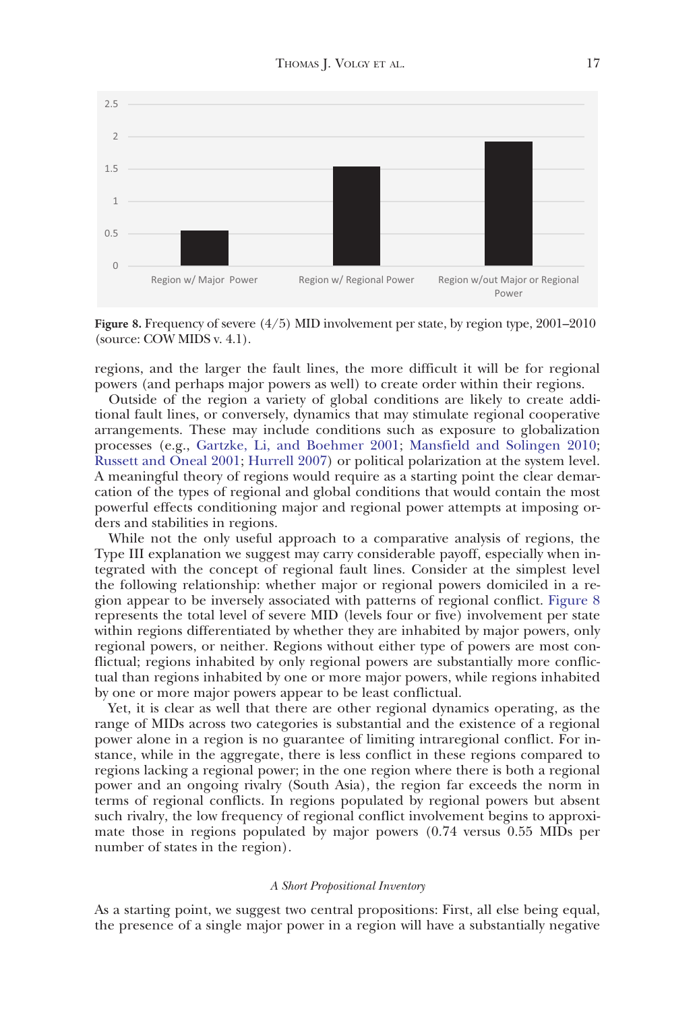

Figure 8. Frequency of severe (4/5) MID involvement per state, by region type, 2001–2010 (source: COW MIDS v. 4.1).

regions, and the larger the fault lines, the more difficult it will be for regional powers (and perhaps major powers as well) to create order within their regions.

Outside of the region a variety of global conditions are likely to create additional fault lines, or conversely, dynamics that may stimulate regional cooperative arrangements. These may include conditions such as exposure to globalization processes (e.g., [Gartzke, Li, and Boehmer 2001](#page-26-0); [Mansfield and Solingen 2010;](#page-27-0) [Russett and Oneal 2001](#page-28-0); [Hurrell 2007\)](#page-27-0) or political polarization at the system level. A meaningful theory of regions would require as a starting point the clear demarcation of the types of regional and global conditions that would contain the most powerful effects conditioning major and regional power attempts at imposing orders and stabilities in regions.

While not the only useful approach to a comparative analysis of regions, the Type III explanation we suggest may carry considerable payoff, especially when integrated with the concept of regional fault lines. Consider at the simplest level the following relationship: whether major or regional powers domiciled in a region appear to be inversely associated with patterns of regional conflict. Figure 8 represents the total level of severe MID (levels four or five) involvement per state within regions differentiated by whether they are inhabited by major powers, only regional powers, or neither. Regions without either type of powers are most conflictual; regions inhabited by only regional powers are substantially more conflictual than regions inhabited by one or more major powers, while regions inhabited by one or more major powers appear to be least conflictual.

Yet, it is clear as well that there are other regional dynamics operating, as the range of MIDs across two categories is substantial and the existence of a regional power alone in a region is no guarantee of limiting intraregional conflict. For instance, while in the aggregate, there is less conflict in these regions compared to regions lacking a regional power; in the one region where there is both a regional power and an ongoing rivalry (South Asia), the region far exceeds the norm in terms of regional conflicts. In regions populated by regional powers but absent such rivalry, the low frequency of regional conflict involvement begins to approximate those in regions populated by major powers (0.74 versus 0.55 MIDs per number of states in the region).

# A Short Propositional Inventory

As a starting point, we suggest two central propositions: First, all else being equal, the presence of a single major power in a region will have a substantially negative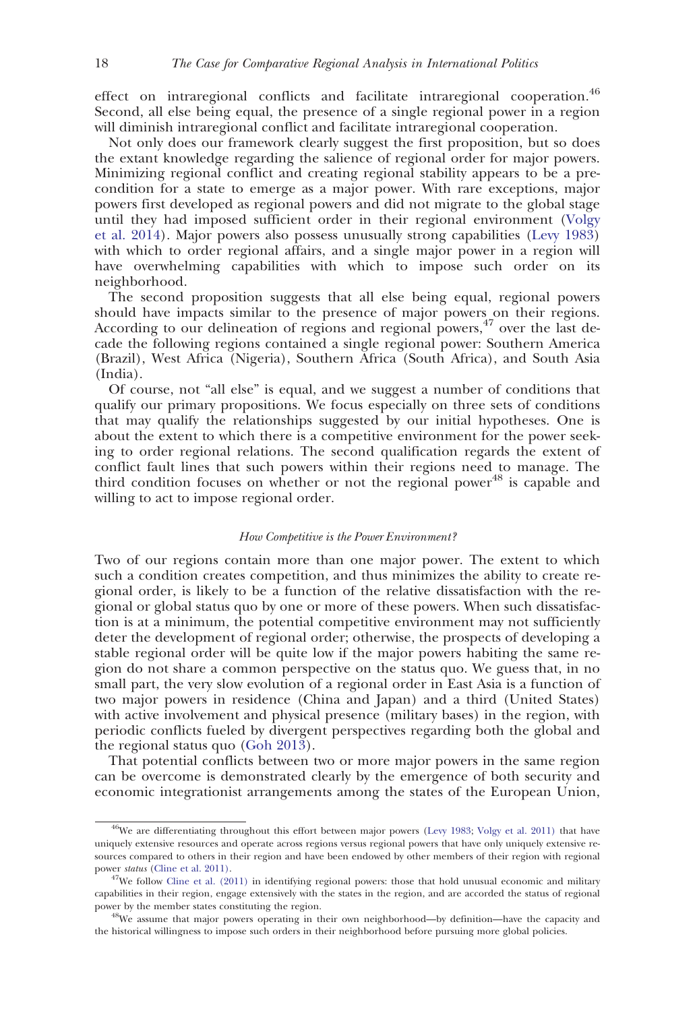effect on intraregional conflicts and facilitate intraregional cooperation.<sup>46</sup> Second, all else being equal, the presence of a single regional power in a region will diminish intraregional conflict and facilitate intraregional cooperation.

Not only does our framework clearly suggest the first proposition, but so does the extant knowledge regarding the salience of regional order for major powers. Minimizing regional conflict and creating regional stability appears to be a precondition for a state to emerge as a major power. With rare exceptions, major powers first developed as regional powers and did not migrate to the global stage until they had imposed sufficient order in their regional environment [\(Volgy](#page-28-0) [et al. 2014](#page-28-0)). Major powers also possess unusually strong capabilities ([Levy 1983\)](#page-27-0) with which to order regional affairs, and a single major power in a region will have overwhelming capabilities with which to impose such order on its neighborhood.

The second proposition suggests that all else being equal, regional powers should have impacts similar to the presence of major powers on their regions. According to our delineation of regions and regional powers,  $47$  over the last decade the following regions contained a single regional power: Southern America (Brazil), West Africa (Nigeria), Southern Africa (South Africa), and South Asia (India).

Of course, not "all else" is equal, and we suggest a number of conditions that qualify our primary propositions. We focus especially on three sets of conditions that may qualify the relationships suggested by our initial hypotheses. One is about the extent to which there is a competitive environment for the power seeking to order regional relations. The second qualification regards the extent of conflict fault lines that such powers within their regions need to manage. The third condition focuses on whether or not the regional power<sup>48</sup> is capable and willing to act to impose regional order.

#### How Competitive is the Power Environment?

Two of our regions contain more than one major power. The extent to which such a condition creates competition, and thus minimizes the ability to create regional order, is likely to be a function of the relative dissatisfaction with the regional or global status quo by one or more of these powers. When such dissatisfaction is at a minimum, the potential competitive environment may not sufficiently deter the development of regional order; otherwise, the prospects of developing a stable regional order will be quite low if the major powers habiting the same region do not share a common perspective on the status quo. We guess that, in no small part, the very slow evolution of a regional order in East Asia is a function of two major powers in residence (China and Japan) and a third (United States) with active involvement and physical presence (military bases) in the region, with periodic conflicts fueled by divergent perspectives regarding both the global and the regional status quo ([Goh 2013\)](#page-26-0).

That potential conflicts between two or more major powers in the same region can be overcome is demonstrated clearly by the emergence of both security and economic integrationist arrangements among the states of the European Union,

<sup>&</sup>lt;sup>46</sup>We are differentiating throughout this effort between major powers [\(Levy 1983](#page-27-0); [Volgy et al. 2011\)](#page-28-0) that have uniquely extensive resources and operate across regions versus regional powers that have only uniquely extensive resources compared to others in their region and have been endowed by other members of their region with regional power status ([Cline et al. 2011\)](#page-26-0). 47We follow [Cline et al. \(2011\)](#page-26-0) in identifying regional powers: those that hold unusual economic and military

capabilities in their region, engage extensively with the states in the region, and are accorded the status of regional power by the member states constituting the region.

<sup>48</sup>We assume that major powers operating in their own neighborhood—by definition—have the capacity and the historical willingness to impose such orders in their neighborhood before pursuing more global policies.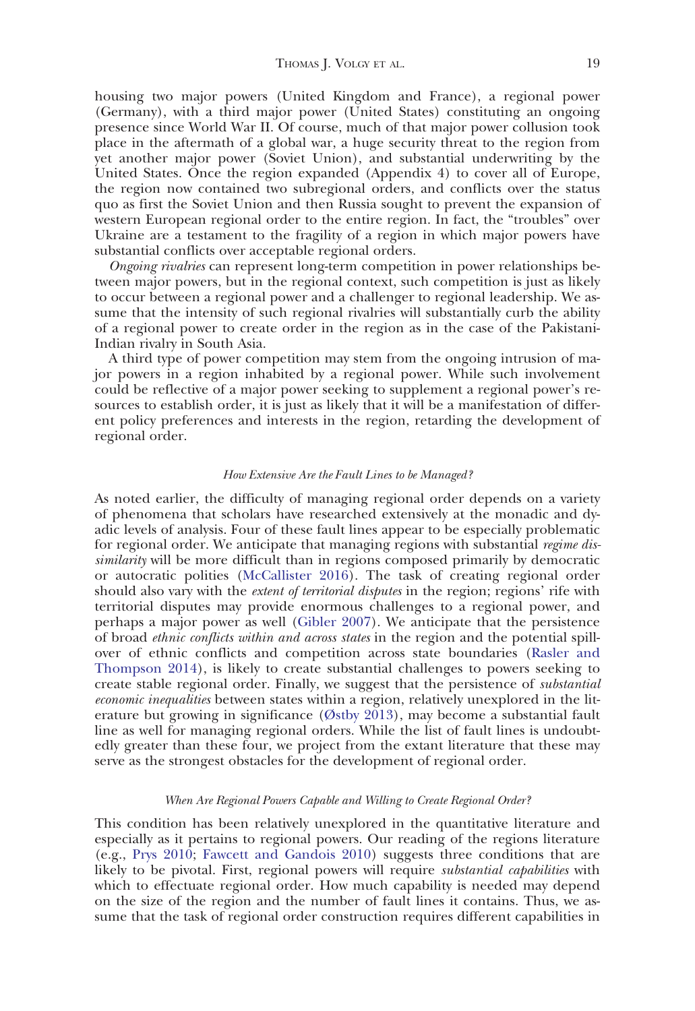housing two major powers (United Kingdom and France), a regional power (Germany), with a third major power (United States) constituting an ongoing presence since World War II. Of course, much of that major power collusion took place in the aftermath of a global war, a huge security threat to the region from yet another major power (Soviet Union), and substantial underwriting by the United States. Once the region expanded (Appendix 4) to cover all of Europe, the region now contained two subregional orders, and conflicts over the status quo as first the Soviet Union and then Russia sought to prevent the expansion of western European regional order to the entire region. In fact, the "troubles" over Ukraine are a testament to the fragility of a region in which major powers have substantial conflicts over acceptable regional orders.

Ongoing rivalries can represent long-term competition in power relationships between major powers, but in the regional context, such competition is just as likely to occur between a regional power and a challenger to regional leadership. We assume that the intensity of such regional rivalries will substantially curb the ability of a regional power to create order in the region as in the case of the Pakistani-Indian rivalry in South Asia.

A third type of power competition may stem from the ongoing intrusion of major powers in a region inhabited by a regional power. While such involvement could be reflective of a major power seeking to supplement a regional power's resources to establish order, it is just as likely that it will be a manifestation of different policy preferences and interests in the region, retarding the development of regional order.

#### How Extensive Are the Fault Lines to be Managed?

As noted earlier, the difficulty of managing regional order depends on a variety of phenomena that scholars have researched extensively at the monadic and dyadic levels of analysis. Four of these fault lines appear to be especially problematic for regional order. We anticipate that managing regions with substantial regime dissimilarity will be more difficult than in regions composed primarily by democratic or autocratic polities ([McCallister 2016](#page-27-0)). The task of creating regional order should also vary with the *extent of territorial disputes* in the region; regions' rife with territorial disputes may provide enormous challenges to a regional power, and perhaps a major power as well ([Gibler 2007](#page-26-0)). We anticipate that the persistence of broad ethnic conflicts within and across states in the region and the potential spillover of ethnic conflicts and competition across state boundaries [\(Rasler and](#page-28-0) [Thompson 2014](#page-28-0)), is likely to create substantial challenges to powers seeking to create stable regional order. Finally, we suggest that the persistence of substantial economic inequalities between states within a region, relatively unexplored in the literature but growing in significance ([Østby 2013](#page-27-0)), may become a substantial fault line as well for managing regional orders. While the list of fault lines is undoubtedly greater than these four, we project from the extant literature that these may serve as the strongest obstacles for the development of regional order.

#### When Are Regional Powers Capable and Willing to Create Regional Order?

This condition has been relatively unexplored in the quantitative literature and especially as it pertains to regional powers. Our reading of the regions literature (e.g., [Prys 2010](#page-28-0); [Fawcett and Gandois 2010](#page-26-0)) suggests three conditions that are likely to be pivotal. First, regional powers will require *substantial capabilities* with which to effectuate regional order. How much capability is needed may depend on the size of the region and the number of fault lines it contains. Thus, we assume that the task of regional order construction requires different capabilities in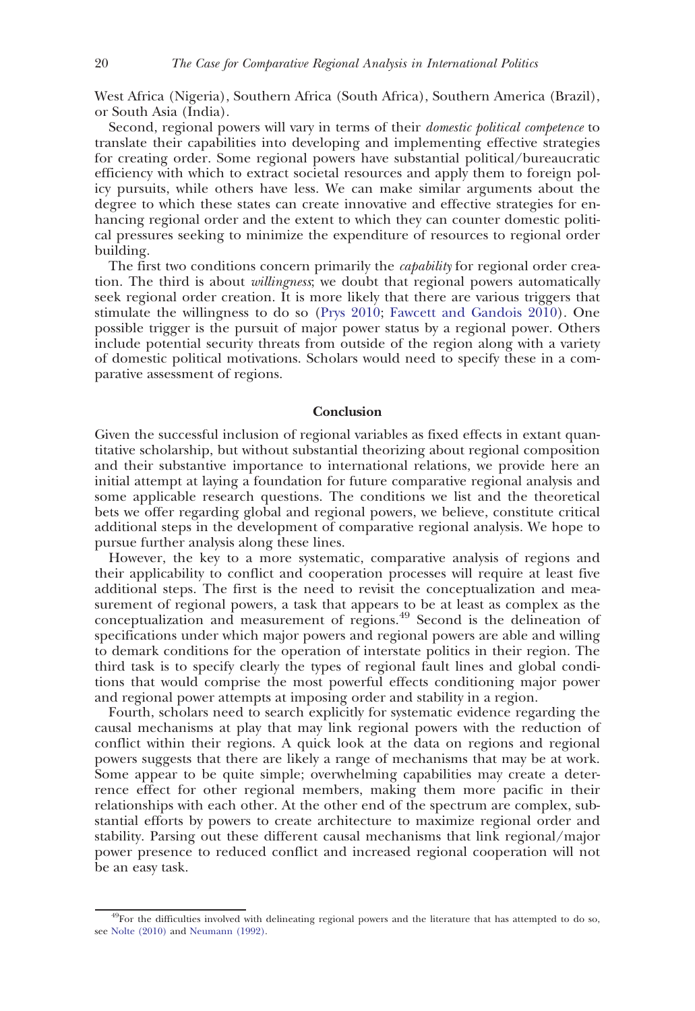West Africa (Nigeria), Southern Africa (South Africa), Southern America (Brazil), or South Asia (India).

Second, regional powers will vary in terms of their *domestic political competence* to translate their capabilities into developing and implementing effective strategies for creating order. Some regional powers have substantial political/bureaucratic efficiency with which to extract societal resources and apply them to foreign policy pursuits, while others have less. We can make similar arguments about the degree to which these states can create innovative and effective strategies for enhancing regional order and the extent to which they can counter domestic political pressures seeking to minimize the expenditure of resources to regional order building.

The first two conditions concern primarily the *capability* for regional order creation. The third is about *willingness*; we doubt that regional powers automatically seek regional order creation. It is more likely that there are various triggers that stimulate the willingness to do so [\(Prys 2010;](#page-28-0) [Fawcett and Gandois 2010\)](#page-26-0). One possible trigger is the pursuit of major power status by a regional power. Others include potential security threats from outside of the region along with a variety of domestic political motivations. Scholars would need to specify these in a comparative assessment of regions.

# Conclusion

Given the successful inclusion of regional variables as fixed effects in extant quantitative scholarship, but without substantial theorizing about regional composition and their substantive importance to international relations, we provide here an initial attempt at laying a foundation for future comparative regional analysis and some applicable research questions. The conditions we list and the theoretical bets we offer regarding global and regional powers, we believe, constitute critical additional steps in the development of comparative regional analysis. We hope to pursue further analysis along these lines.

However, the key to a more systematic, comparative analysis of regions and their applicability to conflict and cooperation processes will require at least five additional steps. The first is the need to revisit the conceptualization and measurement of regional powers, a task that appears to be at least as complex as the conceptualization and measurement of regions.<sup>49</sup> Second is the delineation of specifications under which major powers and regional powers are able and willing to demark conditions for the operation of interstate politics in their region. The third task is to specify clearly the types of regional fault lines and global conditions that would comprise the most powerful effects conditioning major power and regional power attempts at imposing order and stability in a region.

Fourth, scholars need to search explicitly for systematic evidence regarding the causal mechanisms at play that may link regional powers with the reduction of conflict within their regions. A quick look at the data on regions and regional powers suggests that there are likely a range of mechanisms that may be at work. Some appear to be quite simple; overwhelming capabilities may create a deterrence effect for other regional members, making them more pacific in their relationships with each other. At the other end of the spectrum are complex, substantial efforts by powers to create architecture to maximize regional order and stability. Parsing out these different causal mechanisms that link regional/major power presence to reduced conflict and increased regional cooperation will not be an easy task.

<sup>&</sup>lt;sup>49</sup>For the difficulties involved with delineating regional powers and the literature that has attempted to do so, see [Nolte \(2010\)](#page-27-0) and [Neumann \(1992\).](#page-27-0)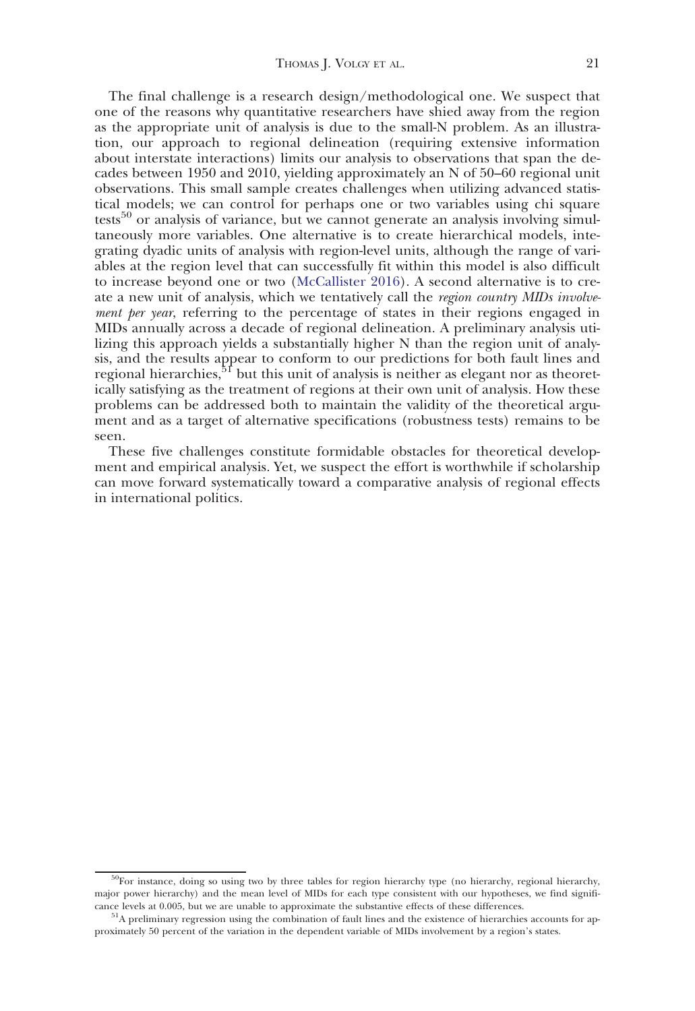The final challenge is a research design/methodological one. We suspect that one of the reasons why quantitative researchers have shied away from the region as the appropriate unit of analysis is due to the small-N problem. As an illustration, our approach to regional delineation (requiring extensive information about interstate interactions) limits our analysis to observations that span the decades between 1950 and 2010, yielding approximately an N of 50–60 regional unit observations. This small sample creates challenges when utilizing advanced statistical models; we can control for perhaps one or two variables using chi square tests<sup>50</sup> or analysis of variance, but we cannot generate an analysis involving simultaneously more variables. One alternative is to create hierarchical models, integrating dyadic units of analysis with region-level units, although the range of variables at the region level that can successfully fit within this model is also difficult to increase beyond one or two [\(McCallister 2016\)](#page-27-0). A second alternative is to create a new unit of analysis, which we tentatively call the region country MIDs involvement per year, referring to the percentage of states in their regions engaged in MIDs annually across a decade of regional delineation. A preliminary analysis utilizing this approach yields a substantially higher N than the region unit of analysis, and the results appear to conform to our predictions for both fault lines and regional hierarchies, $5^{\text{t}}$  but this unit of analysis is neither as elegant nor as theoretically satisfying as the treatment of regions at their own unit of analysis. How these problems can be addressed both to maintain the validity of the theoretical argument and as a target of alternative specifications (robustness tests) remains to be seen.

These five challenges constitute formidable obstacles for theoretical development and empirical analysis. Yet, we suspect the effort is worthwhile if scholarship can move forward systematically toward a comparative analysis of regional effects in international politics.

<sup>50</sup>For instance, doing so using two by three tables for region hierarchy type (no hierarchy, regional hierarchy, major power hierarchy) and the mean level of MIDs for each type consistent with our hypotheses, we find significance levels at 0.005, but we are unable to approximate the substantive effects of these differences.

<sup>&</sup>lt;sup>51</sup>A preliminary regression using the combination of fault lines and the existence of hierarchies accounts for approximately 50 percent of the variation in the dependent variable of MIDs involvement by a region's states.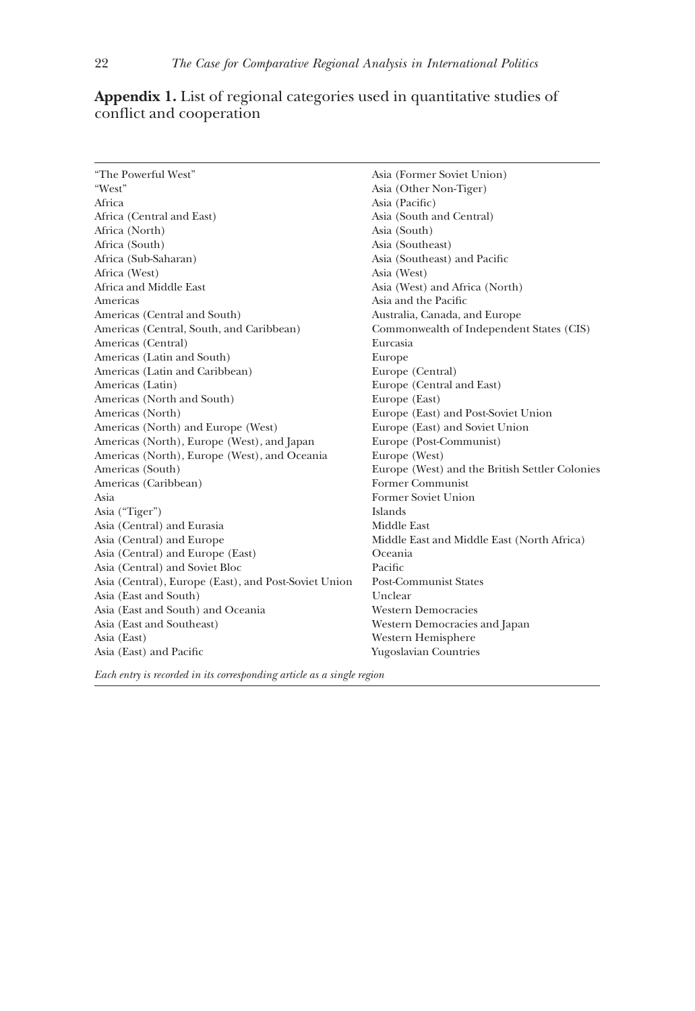22 The Case for Comparative Regional Analysis in International Politics

| "The Powerful West"                                  | Asia (Former Soviet Union)                     |  |  |
|------------------------------------------------------|------------------------------------------------|--|--|
| "West"                                               | Asia (Other Non-Tiger)                         |  |  |
| Africa                                               | Asia (Pacific)                                 |  |  |
| Africa (Central and East)                            | Asia (South and Central)                       |  |  |
| Africa (North)                                       | Asia (South)                                   |  |  |
| Africa (South)                                       | Asia (Southeast)                               |  |  |
| Africa (Sub-Saharan)                                 | Asia (Southeast) and Pacific                   |  |  |
| Africa (West)                                        | Asia (West)                                    |  |  |
| Africa and Middle East                               | Asia (West) and Africa (North)                 |  |  |
| Americas                                             | Asia and the Pacific                           |  |  |
| Americas (Central and South)                         | Australia, Canada, and Europe                  |  |  |
| Americas (Central, South, and Caribbean)             | Commonwealth of Independent States (CIS)       |  |  |
| Americas (Central)                                   | Eurcasia                                       |  |  |
| Americas (Latin and South)                           | Europe                                         |  |  |
| Americas (Latin and Caribbean)                       | Europe (Central)                               |  |  |
| Americas (Latin)                                     | Europe (Central and East)                      |  |  |
| Americas (North and South)                           | Europe (East)                                  |  |  |
| Americas (North)                                     | Europe (East) and Post-Soviet Union            |  |  |
| Americas (North) and Europe (West)                   | Europe (East) and Soviet Union                 |  |  |
| Americas (North), Europe (West), and Japan           | Europe (Post-Communist)                        |  |  |
| Americas (North), Europe (West), and Oceania         | Europe (West)                                  |  |  |
| Americas (South)                                     | Europe (West) and the British Settler Colonies |  |  |
| Americas (Caribbean)                                 | <b>Former Communist</b>                        |  |  |
| Asia                                                 | Former Soviet Union                            |  |  |
| Asia ("Tiger")                                       | Islands                                        |  |  |
| Asia (Central) and Eurasia                           | Middle East                                    |  |  |
| Asia (Central) and Europe                            | Middle East and Middle East (North Africa)     |  |  |
| Asia (Central) and Europe (East)                     | Oceania                                        |  |  |
| Asia (Central) and Soviet Bloc                       | Pacific                                        |  |  |
| Asia (Central), Europe (East), and Post-Soviet Union | <b>Post-Communist States</b>                   |  |  |
| Asia (East and South)                                | Unclear                                        |  |  |
| Asia (East and South) and Oceania                    | <b>Western Democracies</b>                     |  |  |
| Asia (East and Southeast)                            | Western Democracies and Japan                  |  |  |
| Asia (East)                                          | Western Hemisphere                             |  |  |
| Asia (East) and Pacific                              | Yugoslavian Countries                          |  |  |
|                                                      |                                                |  |  |

# Appendix 1. List of regional categories used in quantitative studies of conflict and cooperation

Each entry is recorded in its corresponding article as a single region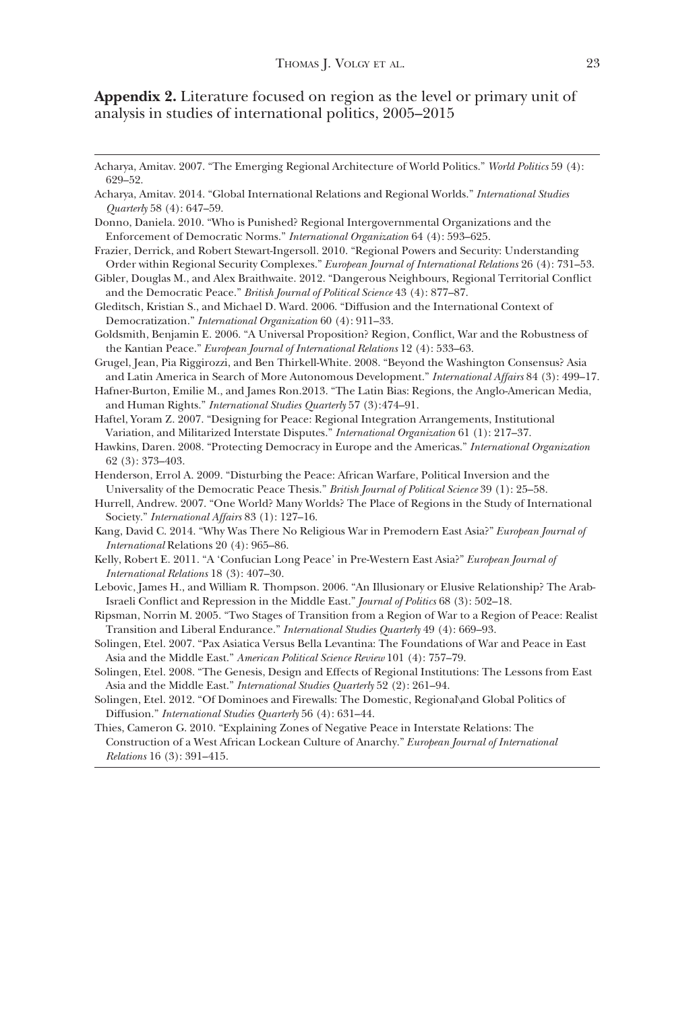Appendix 2. Literature focused on region as the level or primary unit of analysis in studies of international politics, 2005–2015

- Donno, Daniela. 2010. "Who is Punished? Regional Intergovernmental Organizations and the Enforcement of Democratic Norms." International Organization 64 (4): 593–625.
- Frazier, Derrick, and Robert Stewart-Ingersoll. 2010. "Regional Powers and Security: Understanding Order within Regional Security Complexes." European Journal of International Relations 26 (4): 731-53.
- Gibler, Douglas M., and Alex Braithwaite. 2012. "Dangerous Neighbours, Regional Territorial Conflict and the Democratic Peace." British Journal of Political Science 43 (4): 877–87.
- Gleditsch, Kristian S., and Michael D. Ward. 2006. "Diffusion and the International Context of Democratization." International Organization 60 (4): 911–33.
- Goldsmith, Benjamin E. 2006. "A Universal Proposition? Region, Conflict, War and the Robustness of the Kantian Peace." European Journal of International Relations 12 (4): 533–63.

Grugel, Jean, Pia Riggirozzi, and Ben Thirkell-White. 2008. "Beyond the Washington Consensus? Asia and Latin America in Search of More Autonomous Development." International Affairs 84 (3): 499-17.

- Hafner-Burton, Emilie M., and James Ron.2013. "The Latin Bias: Regions, the Anglo-American Media, and Human Rights." International Studies Quarterly 57 (3):474–91.
- Haftel, Yoram Z. 2007. "Designing for Peace: Regional Integration Arrangements, Institutional Variation, and Militarized Interstate Disputes." International Organization 61 (1): 217–37.
- Hawkins, Daren. 2008. "Protecting Democracy in Europe and the Americas." International Organization 62 (3): 373–403.
- Henderson, Errol A. 2009. "Disturbing the Peace: African Warfare, Political Inversion and the Universality of the Democratic Peace Thesis." British Journal of Political Science 39 (1): 25–58.
- Hurrell, Andrew. 2007. "One World? Many Worlds? The Place of Regions in the Study of International Society." International Affairs 83 (1): 127-16.
- Kang, David C. 2014. "Why Was There No Religious War in Premodern East Asia?" European Journal of International Relations 20 (4): 965–86.
- Kelly, Robert E. 2011. "A 'Confucian Long Peace' in Pre-Western East Asia?" European Journal of International Relations 18 (3): 407–30.
- Lebovic, James H., and William R. Thompson. 2006. "An Illusionary or Elusive Relationship? The Arab-Israeli Conflict and Repression in the Middle East." Journal of Politics 68 (3): 502–18.
- Ripsman, Norrin M. 2005. "Two Stages of Transition from a Region of War to a Region of Peace: Realist Transition and Liberal Endurance." International Studies Quarterly 49 (4): 669-93.
- Solingen, Etel. 2007. "Pax Asiatica Versus Bella Levantina: The Foundations of War and Peace in East Asia and the Middle East." American Political Science Review 101 (4): 757–79.
- Solingen, Etel. 2008. "The Genesis, Design and Effects of Regional Institutions: The Lessons from East Asia and the Middle East." International Studies Quarterly 52 (2): 261–94.
- Solingen, Etel. 2012. "Of Dominoes and Firewalls: The Domestic, Regional\and Global Politics of Diffusion." International Studies Quarterly 56 (4): 631–44.
- Thies, Cameron G. 2010. "Explaining Zones of Negative Peace in Interstate Relations: The Construction of a West African Lockean Culture of Anarchy." European Journal of International Relations 16 (3): 391–415.

Acharya, Amitav. 2007. "The Emerging Regional Architecture of World Politics." World Politics 59 (4): 629–52.

Acharya, Amitav. 2014. "Global International Relations and Regional Worlds." International Studies Quarterly 58 (4): 647–59.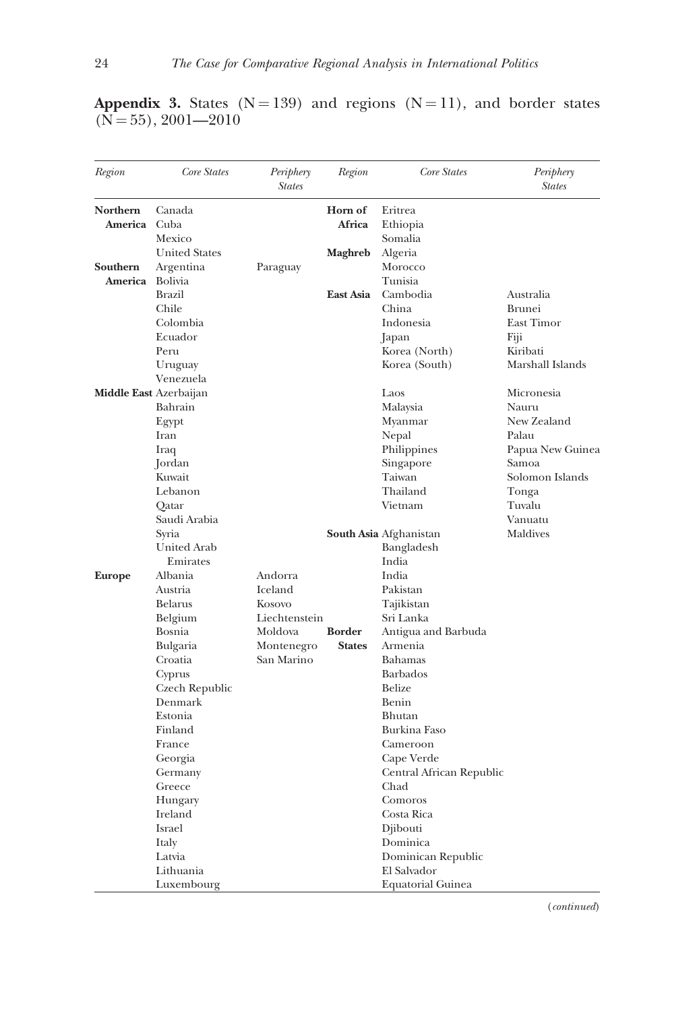| Region                 | Core States          | Periphery<br><b>States</b> | Region         | Core States                   | Periphery<br><b>States</b> |
|------------------------|----------------------|----------------------------|----------------|-------------------------------|----------------------------|
| Northern               | Canada               |                            | Horn of        | Eritrea                       |                            |
| <b>America</b> Cuba    |                      |                            | Africa         | Ethiopia                      |                            |
|                        | Mexico               |                            |                | Somalia                       |                            |
|                        | <b>United States</b> |                            | <b>Maghreb</b> | Algeria                       |                            |
| Southern               | Argentina            | Paraguay                   |                | Morocco                       |                            |
| America Bolivia        |                      |                            |                | Tunisia                       |                            |
|                        | Brazil               |                            | East Asia      | Cambodia                      | Australia                  |
|                        | Chile                |                            |                | China                         | Brunei                     |
|                        | Colombia             |                            |                | Indonesia                     | East Timor                 |
|                        | Ecuador              |                            |                | Japan                         | Fiji                       |
|                        | Peru                 |                            |                | Korea (North)                 | Kiribati                   |
|                        | Uruguay              |                            |                | Korea (South)                 | Marshall Islands           |
|                        | Venezuela            |                            |                |                               |                            |
| Middle East Azerbaijan |                      |                            |                | Laos                          | Micronesia                 |
|                        | Bahrain              |                            |                | Malaysia                      | Nauru                      |
|                        | Egypt                |                            |                | Myanmar                       | New Zealand                |
|                        | Iran                 |                            |                | Nepal                         | Palau                      |
|                        | Iraq                 |                            |                |                               | Papua New Guinea           |
|                        |                      |                            |                | Philippines<br>Singapore      | Samoa                      |
|                        | Jordan<br>Kuwait     |                            |                | Taiwan                        | Solomon Islands            |
|                        | Lebanon              |                            |                | Thailand                      |                            |
|                        |                      |                            |                | Vietnam                       | Tonga<br>Tuvalu            |
|                        | Qatar                |                            |                |                               |                            |
|                        | Saudi Arabia         |                            |                |                               | Vanuatu                    |
|                        | Syria                |                            |                | <b>South Asia</b> Afghanistan | Maldives                   |
|                        | United Arab          |                            |                | Bangladesh                    |                            |
|                        | Emirates             |                            |                | India                         |                            |
| <b>Europe</b>          | Albania              | Andorra                    |                | India                         |                            |
|                        | Austria              | Iceland                    |                | Pakistan                      |                            |
|                        | Belarus              | Kosovo                     |                | Tajikistan                    |                            |
|                        | Belgium              | Liechtenstein              |                | Sri Lanka                     |                            |
|                        | Bosnia               | Moldova                    | <b>Border</b>  | Antigua and Barbuda           |                            |
|                        | Bulgaria             | Montenegro                 | <b>States</b>  | Armenia                       |                            |
|                        | Croatia              | San Marino                 |                | Bahamas                       |                            |
|                        | Cyprus               |                            |                | <b>Barbados</b>               |                            |
|                        | Czech Republic       |                            |                | Belize                        |                            |
|                        | Denmark              |                            |                | Benin                         |                            |
|                        | Estonia              |                            |                | Bhutan                        |                            |
|                        | Finland              |                            |                | <b>Burkina Faso</b>           |                            |
|                        | France               |                            |                | Cameroon                      |                            |
|                        | Georgia              |                            |                | Cape Verde                    |                            |
|                        | Germany              |                            |                | Central African Republic      |                            |
|                        | Greece               |                            |                | Chad                          |                            |
|                        | Hungary              |                            |                | Comoros                       |                            |
|                        | Ireland              |                            |                | Costa Rica                    |                            |
|                        | Israel               |                            |                | Djibouti                      |                            |
|                        | Italy                |                            |                | Dominica                      |                            |
|                        | Latvia               |                            |                | Dominican Republic            |                            |
|                        | Lithuania            |                            |                | El Salvador                   |                            |
|                        | Luxembourg           |                            |                | <b>Equatorial Guinea</b>      |                            |

Appendix 3. States  $(N = 139)$  and regions  $(N = 11)$ , and border states  $(N = 55)$ , 2001—2010

(continued)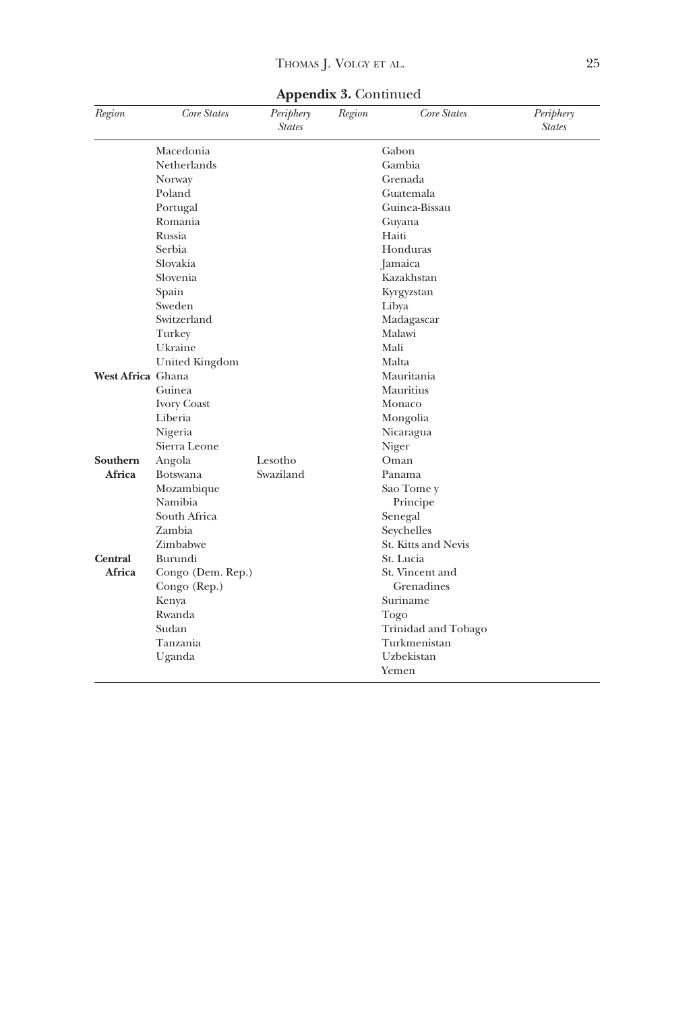| Region            | Core States        | Periphery<br><b>States</b> | Region | Core States         | Periphery<br><b>States</b> |
|-------------------|--------------------|----------------------------|--------|---------------------|----------------------------|
|                   | Macedonia          |                            |        | Gabon               |                            |
|                   | Netherlands        |                            |        | Gambia              |                            |
|                   | Norway             |                            |        | Grenada             |                            |
|                   | Poland             |                            |        | Guatemala           |                            |
|                   | Portugal           |                            |        | Guinea-Bissau       |                            |
|                   | Romania            |                            |        | Guyana              |                            |
|                   | Russia             |                            |        | Haiti               |                            |
|                   | Serbia             |                            |        | Honduras            |                            |
|                   | Slovakia           |                            |        | Jamaica             |                            |
|                   | Slovenia           |                            |        | Kazakhstan          |                            |
|                   | Spain              |                            |        | Kyrgyzstan          |                            |
|                   | Sweden             |                            |        | Libya               |                            |
|                   | Switzerland        |                            |        | Madagascar          |                            |
|                   | Turkey             |                            |        | Malawi              |                            |
|                   | Ukraine            |                            |        | Mali                |                            |
|                   | United Kingdom     |                            |        | Malta               |                            |
| West Africa Ghana |                    |                            |        | Mauritania          |                            |
|                   | Guinea             |                            |        | Mauritius           |                            |
|                   | <b>Ivory Coast</b> |                            |        | Monaco              |                            |
|                   | Liberia            |                            |        | Mongolia            |                            |
|                   | Nigeria            |                            |        | Nicaragua           |                            |
|                   | Sierra Leone       |                            |        | Niger               |                            |
| Southern          | Angola             | Lesotho                    |        | Oman                |                            |
| Africa            | <b>Botswana</b>    | Swaziland                  |        | Panama              |                            |
|                   | Mozambique         |                            |        | Sao Tome y          |                            |
|                   | Namibia            |                            |        | Principe            |                            |
|                   | South Africa       |                            |        | Senegal             |                            |
|                   | Zambia             |                            |        | Seychelles          |                            |
|                   | Zimbabwe           |                            |        | St. Kitts and Nevis |                            |
| <b>Central</b>    | Burundi            |                            |        | St. Lucia           |                            |
| Africa            | Congo (Dem. Rep.)  |                            |        | St. Vincent and     |                            |
|                   | Congo (Rep.)       |                            |        | Grenadines          |                            |
|                   | Kenya              |                            |        | Suriname            |                            |
|                   | Rwanda             |                            |        | Togo                |                            |
|                   | Sudan              |                            |        | Trinidad and Tobago |                            |
|                   | Tanzania           |                            |        | Turkmenistan        |                            |
|                   | Uganda             |                            |        | Uzbekistan          |                            |
|                   |                    |                            |        | Yemen               |                            |

Appendix 3. Continued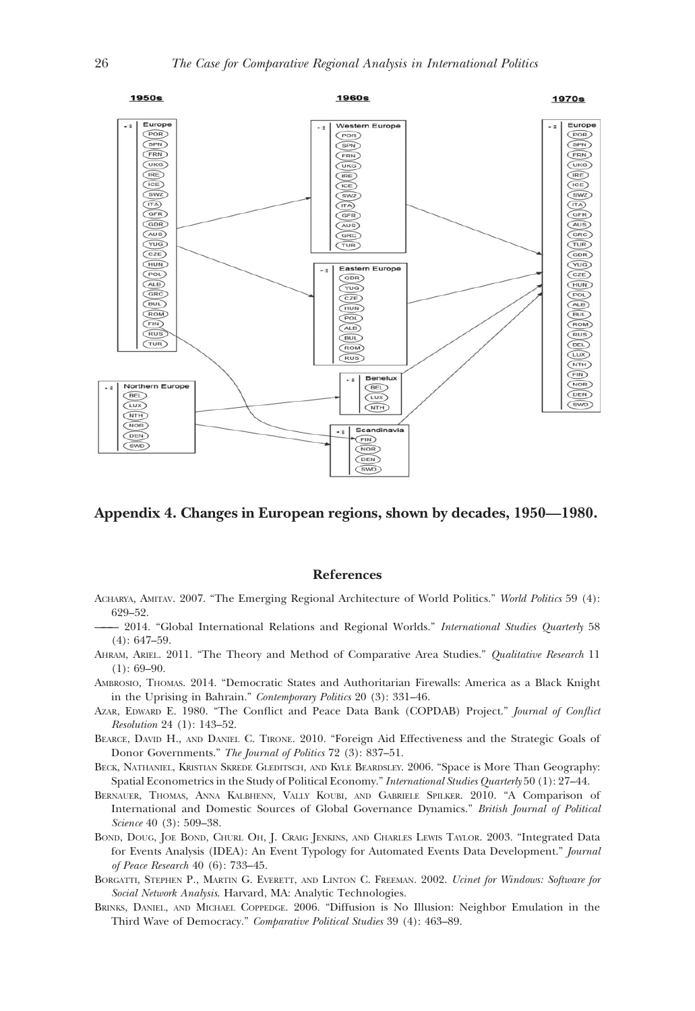<span id="page-25-0"></span>

# Appendix 4. Changes in European regions, shown by decades, 1950—1980.

# References

- ACHARYA, AMITAV. 2007. "The Emerging Regional Architecture of World Politics." World Politics 59 (4): 629–52.
	- 2014. "Global International Relations and Regional Worlds." International Studies Quarterly 58 (4): 647–59.
- AHRAM, ARIEL. 2011. "The Theory and Method of Comparative Area Studies." Qualitative Research 11  $(1): 69-90.$
- AMBROSIO, THOMAS. 2014. "Democratic States and Authoritarian Firewalls: America as a Black Knight in the Uprising in Bahrain." Contemporary Politics 20 (3): 331–46.
- AZAR, EDWARD E. 1980. "The Conflict and Peace Data Bank (COPDAB) Project." Journal of Conflict Resolution 24 (1): 143–52.
- BEARCE, DAVID H., AND DANIEL C. TIRONE. 2010. "Foreign Aid Effectiveness and the Strategic Goals of Donor Governments." The Journal of Politics 72 (3): 837–51.
- BECK, NATHANIEL, KRISTIAN SKREDE GLEDITSCH, AND KYLE BEARDSLEY. 2006. "Space is More Than Geography: Spatial Econometrics in the Study of Political Economy."International Studies Quarterly 50 (1): 27–44.
- BERNAUER, THOMAS, ANNA KALBHENN, VALLY KOUBI, AND GABRIELE SPILKER. 2010. "A Comparison of International and Domestic Sources of Global Governance Dynamics." British Journal of Political Science 40 (3): 509-38.
- BOND, DOUG, JOE BOND, CHURL OH, J. CRAIG JENKINS, AND CHARLES LEWIS TAYLOR. 2003. "Integrated Data for Events Analysis (IDEA): An Event Typology for Automated Events Data Development." Journal of Peace Research 40 (6): 733–45.
- BORGATTI, STEPHEN P., MARTIN G. EVERETT, AND LINTON C. FREEMAN. 2002. Ucinet for Windows: Software for Social Network Analysis. Harvard, MA: Analytic Technologies.
- BRINKS, DANIEL, AND MICHAEL COPPEDGE. 2006. "Diffusion is No Illusion: Neighbor Emulation in the Third Wave of Democracy." Comparative Political Studies 39 (4): 463–89.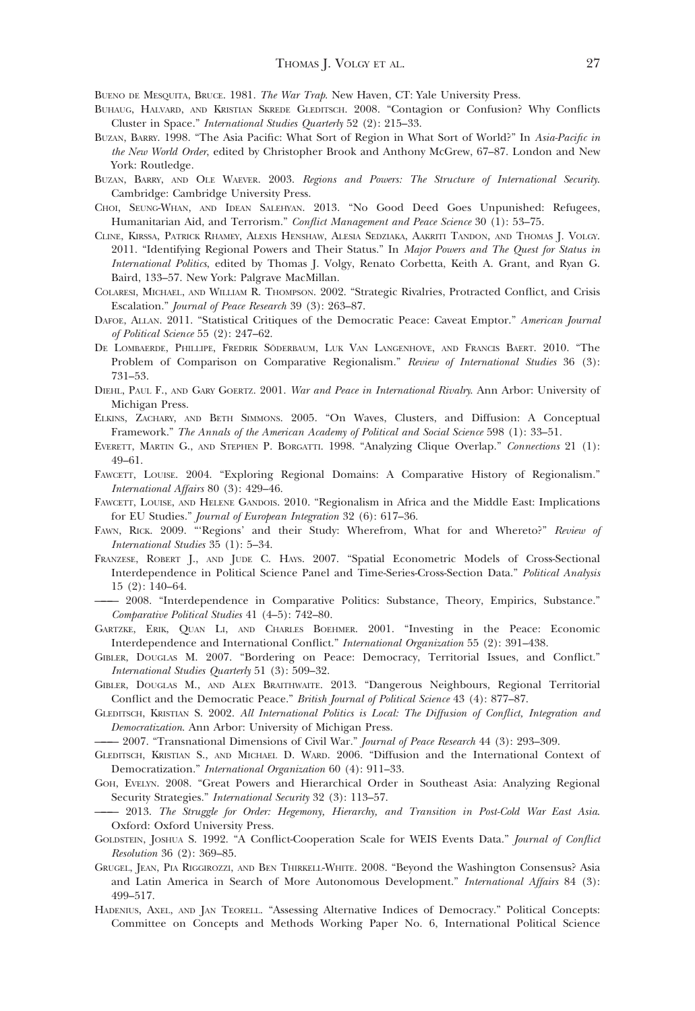<span id="page-26-0"></span>BUENO DE MESQUITA, BRUCE. 1981. The War Trap. New Haven, CT: Yale University Press.

- BUHAUG, HALVARD, AND KRISTIAN SKREDE GLEDITSCH. 2008. "Contagion or Confusion? Why Conflicts Cluster in Space." International Studies Quarterly 52 (2): 215–33.
- BUZAN, BARRY. 1998. "The Asia Pacific: What Sort of Region in What Sort of World?" In Asia-Pacific in the New World Order, edited by Christopher Brook and Anthony McGrew, 67–87. London and New York: Routledge.
- BUZAN, BARRY, AND OLE WAEVER. 2003. Regions and Powers: The Structure of International Security. Cambridge: Cambridge University Press.
- CHOI, SEUNG-WHAN, AND IDEAN SALEHYAN. 2013. "No Good Deed Goes Unpunished: Refugees, Humanitarian Aid, and Terrorism." Conflict Management and Peace Science 30 (1): 53-75.
- CLINE, KIRSSA, PATRICK RHAMEY, ALEXIS HENSHAW, ALESIA SEDZIAKA, AAKRITI TANDON, AND THOMAS J. VOLGY. 2011. "Identifying Regional Powers and Their Status." In Major Powers and The Quest for Status in International Politics, edited by Thomas J. Volgy, Renato Corbetta, Keith A. Grant, and Ryan G. Baird, 133–57. New York: Palgrave MacMillan.
- COLARESI, MICHAEL, AND WILLIAM R. THOMPSON. 2002. "Strategic Rivalries, Protracted Conflict, and Crisis Escalation." Journal of Peace Research 39 (3): 263–87.
- DAFOE, ALLAN. 2011. "Statistical Critiques of the Democratic Peace: Caveat Emptor." American Journal of Political Science 55 (2): 247–62.
- DE LOMBAERDE, PHILLIPE, FREDRIK SÖDERBAUM, LUK VAN LANGENHOVE, AND FRANCIS BAERT. 2010. "The Problem of Comparison on Comparative Regionalism." Review of International Studies 36 (3): 731–53.
- DIEHL, PAUL F., AND GARY GOERTZ. 2001. War and Peace in International Rivalry. Ann Arbor: University of Michigan Press.
- ELKINS, ZACHARY, AND BETH SIMMONS. 2005. "On Waves, Clusters, and Diffusion: A Conceptual Framework." The Annals of the American Academy of Political and Social Science 598 (1): 33–51.
- EVERETT, MARTIN G., AND STEPHEN P. BORGATTI. 1998. "Analyzing Clique Overlap." Connections 21 (1): 49–61.
- FAWCETT, LOUISE. 2004. "Exploring Regional Domains: A Comparative History of Regionalism." International Affairs 80 (3): 429–46.
- FAWCETT, LOUISE, AND HELENE GANDOIS. 2010. "Regionalism in Africa and the Middle East: Implications for EU Studies." Journal of European Integration 32 (6): 617–36.
- FAWN, RICK. 2009. "'Regions' and their Study: Wherefrom, What for and Whereto?" Review of International Studies 35 (1): 5–34.
- FRANZESE, ROBERT J., AND JUDE C. HAYS. 2007. "Spatial Econometric Models of Cross-Sectional Interdependence in Political Science Panel and Time-Series-Cross-Section Data." Political Analysis 15 (2): 140–64.
- ——— 2008. "Interdependence in Comparative Politics: Substance, Theory, Empirics, Substance." Comparative Political Studies 41 (4–5): 742–80.
- GARTZKE, ERIK, QUAN LI, AND CHARLES BOEHMER. 2001. "Investing in the Peace: Economic Interdependence and International Conflict." International Organization 55 (2): 391–438.
- GIBLER, DOUGLAS M. 2007. "Bordering on Peace: Democracy, Territorial Issues, and Conflict." International Studies Quarterly 51 (3): 509–32.
- GIBLER, DOUGLAS M., AND ALEX BRAITHWAITE. 2013. "Dangerous Neighbours, Regional Territorial Conflict and the Democratic Peace." British Journal of Political Science 43 (4): 877–87.
- GLEDITSCH, KRISTIAN S. 2002. All International Politics is Local: The Diffusion of Conflict, Integration and Democratization. Ann Arbor: University of Michigan Press.
- 2007. "Transnational Dimensions of Civil War." Journal of Peace Research 44 (3): 293-309.
- GLEDITSCH, KRISTIAN S., AND MICHAEL D. WARD. 2006. "Diffusion and the International Context of Democratization." International Organization 60 (4): 911–33.
- GOH, EVELYN. 2008. "Great Powers and Hierarchical Order in Southeast Asia: Analyzing Regional Security Strategies." International Security 32 (3): 113–57.
- ——— 2013. The Struggle for Order: Hegemony, Hierarchy, and Transition in Post-Cold War East Asia. Oxford: Oxford University Press.
- GOLDSTEIN, JOSHUA S. 1992. "A Conflict-Cooperation Scale for WEIS Events Data." Journal of Conflict Resolution 36 (2): 369–85.
- GRUGEL, JEAN, PIA RIGGIROZZI, AND BEN THIRKELL-WHITE. 2008. "Beyond the Washington Consensus? Asia and Latin America in Search of More Autonomous Development." International Affairs 84 (3): 499–517.
- HADENIUS, AXEL, AND JAN TEORELL. "Assessing Alternative Indices of Democracy." Political Concepts: Committee on Concepts and Methods Working Paper No. 6, International Political Science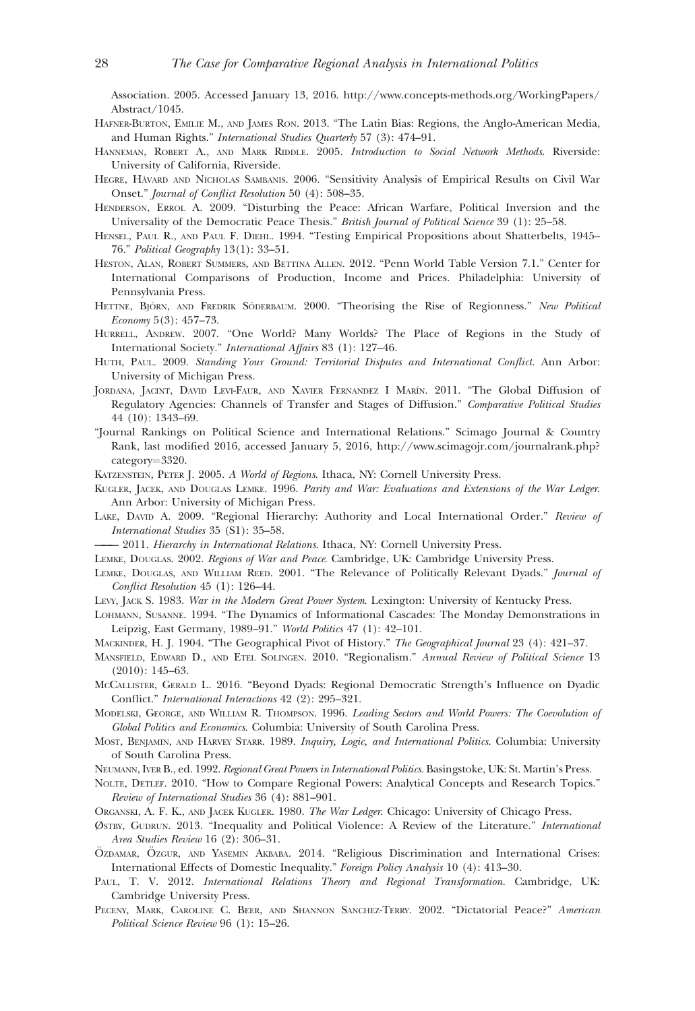<span id="page-27-0"></span>Association. 2005. Accessed January 13, 2016. [http://www.concepts-methods.org/WorkingPapers/](http://www.concepts-methods.org/WorkingPapers/Abstract/1045) [Abstract/1045.](http://www.concepts-methods.org/WorkingPapers/Abstract/1045)

- HAFNER-BURTON, EMILIE M., AND JAMES RON. 2013. "The Latin Bias: Regions, the Anglo-American Media, and Human Rights." International Studies Quarterly 57 (3): 474–91.
- HANNEMAN, ROBERT A., AND MARK RIDDLE. 2005. Introduction to Social Network Methods. Riverside: University of California, Riverside.
- HEGRE, HÅVARD AND NICHOLAS SAMBANIS. 2006. "Sensitivity Analysis of Empirical Results on Civil War Onset." Journal of Conflict Resolution 50 (4): 508–35.
- HENDERSON, ERROL A. 2009. "Disturbing the Peace: African Warfare, Political Inversion and the Universality of the Democratic Peace Thesis." British Journal of Political Science 39 (1): 25–58.
- HENSEL, PAUL R., AND PAUL F. DIEHL. 1994. "Testing Empirical Propositions about Shatterbelts, 1945– 76." Political Geography 13(1): 33–51.
- HESTON, ALAN, ROBERT SUMMERS, AND BETTINA ALLEN. 2012. "Penn World Table Version 7.1." Center for International Comparisons of Production, Income and Prices. Philadelphia: University of Pennsylvania Press.
- HETTNE, BJÖRN, AND FREDRIK SÖDERBAUM. 2000. "Theorising the Rise of Regionness." New Political Economy 5(3): 457–73.
- HURRELL, ANDREW. 2007. "One World? Many Worlds? The Place of Regions in the Study of International Society." International Affairs 83 (1): 127–46.
- HUTH, PAUL. 2009. Standing Your Ground: Territorial Disputes and International Conflict. Ann Arbor: University of Michigan Press.
- JORDANA, JACINT, DAVID LEVI-FAUR, AND XAVIER FERNANDEZ I MARÍN. 2011. "The Global Diffusion of Regulatory Agencies: Channels of Transfer and Stages of Diffusion." Comparative Political Studies 44 (10): 1343–69.
- "Journal Rankings on Political Science and International Relations." Scimago Journal & Country Rank, last modified 2016, accessed January 5, 2016, [http://www.scimagojr.com/journalrank.php?](http://www.scimagojr.com/journalrank.php?category=3320) [category](http://www.scimagojr.com/journalrank.php?category=3320)=[3320](http://www.scimagojr.com/journalrank.php?category=3320).
- KATZENSTEIN, PETER J. 2005. A World of Regions. Ithaca, NY: Cornell University Press.
- KUGLER, JACEK, AND DOUGLAS LEMKE. 1996. Parity and War: Evaluations and Extensions of the War Ledger. Ann Arbor: University of Michigan Press.
- LAKE, DAVID A. 2009. "Regional Hierarchy: Authority and Local International Order." Review of International Studies 35 (S1): 35–58.
- 2011. Hierarchy in International Relations. Ithaca, NY: Cornell University Press.
- LEMKE, DOUGLAS. 2002. Regions of War and Peace. Cambridge, UK: Cambridge University Press.
- LEMKE, DOUGLAS, AND WILLIAM REED. 2001. "The Relevance of Politically Relevant Dyads." Journal of Conflict Resolution 45 (1): 126–44.
- LEVY, JACK S. 1983. War in the Modern Great Power System. Lexington: University of Kentucky Press.
- LOHMANN, SUSANNE. 1994. "The Dynamics of Informational Cascades: The Monday Demonstrations in Leipzig, East Germany, 1989–91." World Politics 47 (1): 42–101.
- MACKINDER, H. J. 1904. "The Geographical Pivot of History." The Geographical Journal 23 (4): 421-37.
- MANSFIELD, EDWARD D., AND ETEL SOLINGEN. 2010. "Regionalism." Annual Review of Political Science 13 (2010): 145–63.
- MCCALLISTER, GERALD L. 2016. "Beyond Dyads: Regional Democratic Strength's Influence on Dyadic Conflict." International Interactions 42 (2): 295–321.
- MODELSKI, GEORGE, AND WILLIAM R. THOMPSON. 1996. Leading Sectors and World Powers: The Coevolution of Global Politics and Economics. Columbia: University of South Carolina Press.
- MOST, BENJAMIN, AND HARVEY STARR. 1989. Inquiry, Logic, and International Politics. Columbia: University of South Carolina Press.
- NEUMANN, IVER B., ed. 1992. Regional Great Powers in International Politics. Basingstoke, UK: St. Martin's Press.
- NOLTE, DETLEF. 2010. "How to Compare Regional Powers: Analytical Concepts and Research Topics." Review of International Studies 36 (4): 881–901.
- ORGANSKI, A. F. K., AND JACEK KUGLER. 1980. The War Ledger. Chicago: University of Chicago Press.
- ØSTBY, GUDRUN. 2013. "Inequality and Political Violence: A Review of the Literature." International Area Studies Review 16 (2): 306–31.
- ÖZDAMAR, ÖZGUR, AND YASEMIN AKBABA. 2014. "Religious Discrimination and International Crises: International Effects of Domestic Inequality." Foreign Policy Analysis 10 (4): 413–30.
- PAUL, T. V. 2012. International Relations Theory and Regional Transformation. Cambridge, UK: Cambridge University Press.
- PECENY, MARK, CAROLINE C. BEER, AND SHANNON SANCHEZ-TERRY. 2002. "Dictatorial Peace?" American Political Science Review 96 (1): 15–26.